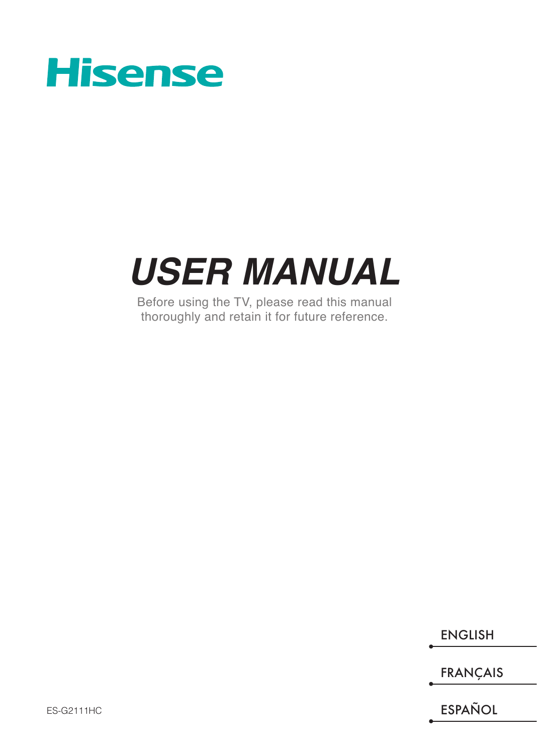

# *USER MANUAL*

Before using the TV, please read this manual thoroughly and retain it for future reference.

ENGLISH

FRANÇAIS

ES-G2111HC **ES-G2111HC ESPAÑOL**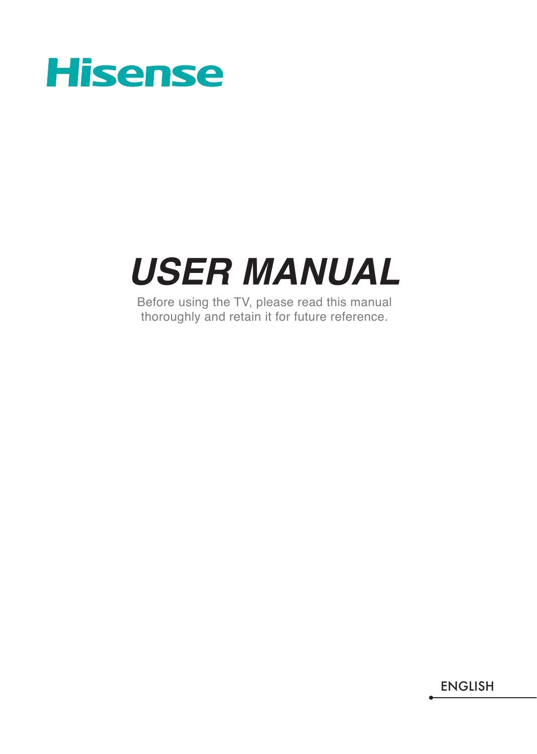

# *USER MANUAL*

Before using the TV, please read this manual thoroughly and retain it for future reference.

ENGLISH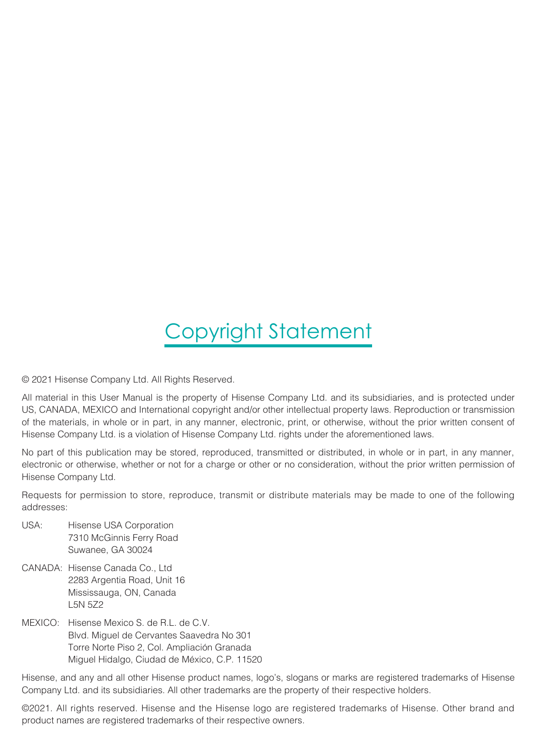## Copyright Statement

© 2021 Hisense Company Ltd. All Rights Reserved.

All material in this User Manual is the property of Hisense Company Ltd. and its subsidiaries, and is protected under US, CANADA, MEXICO and International copyright and/or other intellectual property laws. Reproduction or transmission of the materials, in whole or in part, in any manner, electronic, print, or otherwise, without the prior written consent of Hisense Company Ltd. is a violation of Hisense Company Ltd. rights under the aforementioned laws.

No part of this publication may be stored, reproduced, transmitted or distributed, in whole or in part, in any manner, electronic or otherwise, whether or not for a charge or other or no consideration, without the prior written permission of Hisense Company Ltd.

Requests for permission to store, reproduce, transmit or distribute materials may be made to one of the following addresses:

- USA: Hisense USA Corporation 7310 McGinnis Ferry Road Suwanee, GA 30024
- CANADA: Hisense Canada Co., Ltd 2283 Argentia Road, Unit 16 Mississauga, ON, Canada L5N 5Z2
- MEXICO: Hisense Mexico S. de R.L. de C.V. Blvd. Miguel de Cervantes Saavedra No 301 Torre Norte Piso 2, Col. Ampliación Granada Miguel Hidalgo, Ciudad de México, C.P. 11520

Hisense, and any and all other Hisense product names, logo's, slogans or marks are registered trademarks of Hisense Company Ltd. and its subsidiaries. All other trademarks are the property of their respective holders.

©2021. All rights reserved. Hisense and the Hisense logo are registered trademarks of Hisense. Other brand and product names are registered trademarks of their respective owners.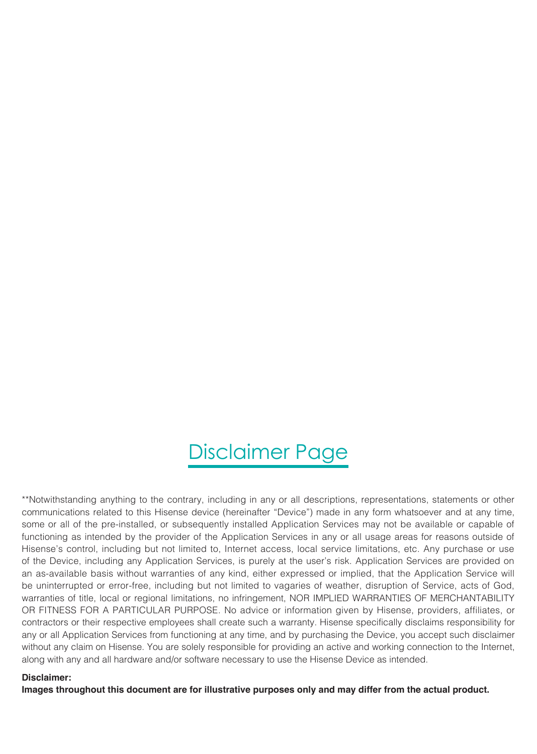## Disclaimer Page

\*\*Notwithstanding anything to the contrary, including in any or all descriptions, representations, statements or other communications related to this Hisense device (hereinafter "Device") made in any form whatsoever and at any time, some or all of the pre-installed, or subsequently installed Application Services may not be available or capable of functioning as intended by the provider of the Application Services in any or all usage areas for reasons outside of Hisense's control, including but not limited to, Internet access, local service limitations, etc. Any purchase or use of the Device, including any Application Services, is purely at the user's risk. Application Services are provided on an as-available basis without warranties of any kind, either expressed or implied, that the Application Service will be uninterrupted or error-free, including but not limited to vagaries of weather, disruption of Service, acts of God, warranties of title, local or regional limitations, no infringement, NOR IMPLIED WARRANTIES OF MERCHANTABILITY OR FITNESS FOR A PARTICULAR PURPOSE. No advice or information given by Hisense, providers, affiliates, or contractors or their respective employees shall create such a warranty. Hisense specifically disclaims responsibility for any or all Application Services from functioning at any time, and by purchasing the Device, you accept such disclaimer without any claim on Hisense. You are solely responsible for providing an active and working connection to the Internet, along with any and all hardware and/or software necessary to use the Hisense Device as intended.

#### **Disclaimer:**

**Images throughout this document are for illustrative purposes only and may differ from the actual product.**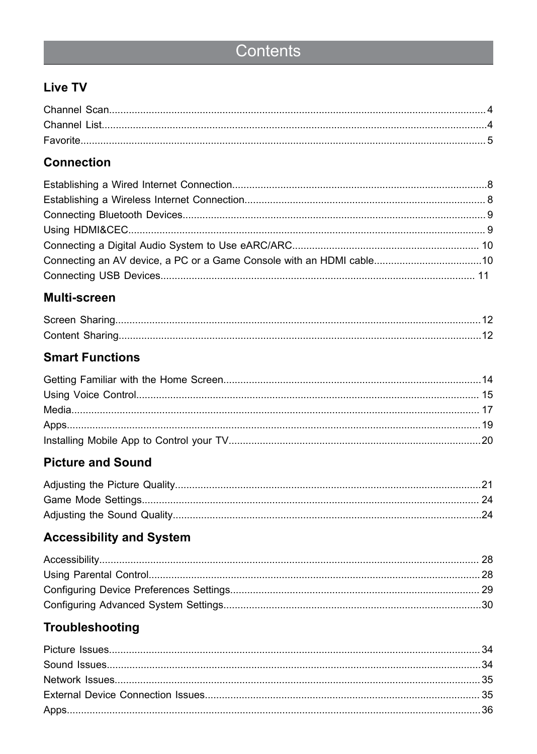### Contents

### Live TV

### **Connection**

| Connecting an AV device, a PC or a Game Console with an HDMI cable10 |  |
|----------------------------------------------------------------------|--|
|                                                                      |  |

### Multi-screen

### **Smart Functions**

### **Picture and Sound**

### **Accessibility and System**

### Troubleshooting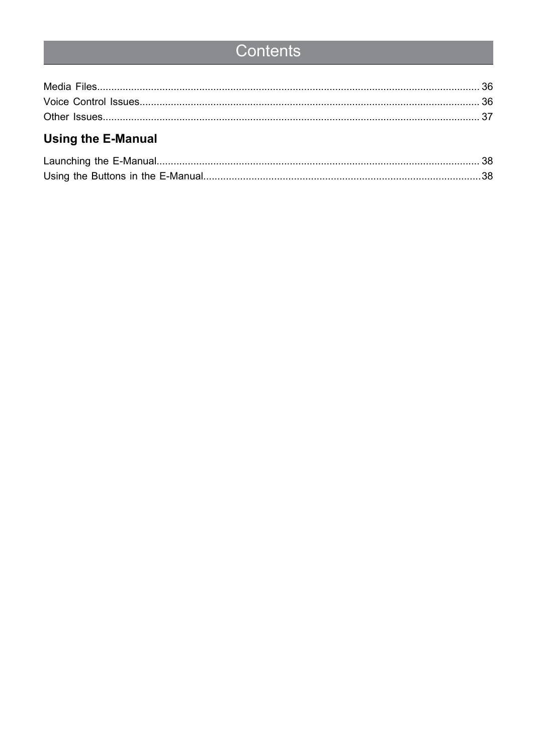## Contents

### **Using the E-Manual**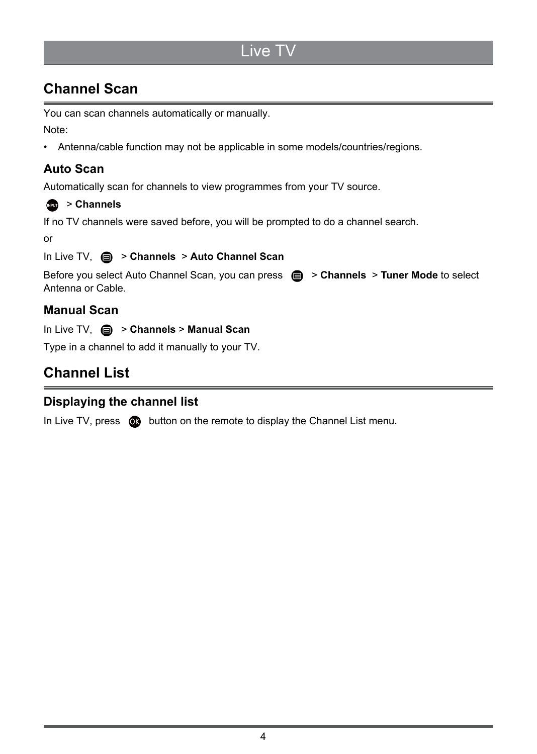### Live TV

### <span id="page-6-0"></span>**Channel Scan**

You can scan channels automatically or manually.

Note:

• Antenna/cable function may not be applicable in some models/countries/regions.

### **Auto Scan**

Automatically scan for channels to view programmes from your TV source.

#### > **Channels**

If no TV channels were saved before, you will be prompted to do a channel search.

or

#### In Live TV, > **Channels** > **Auto Channel Scan**

Before you select Auto Channel Scan, you can press  $\bigcirc$  > Channels > Tuner Mode to select Antenna or Cable.

### **Manual Scan**

#### In Live TV,  $\bigcirc$  > Channels > Manual Scan

Type in a channel to add it manually to your TV.

### <span id="page-6-1"></span>**Channel List**

### **Displaying the channel list**

In Live TV, press  $\bullet\bullet$  button on the remote to display the Channel List menu.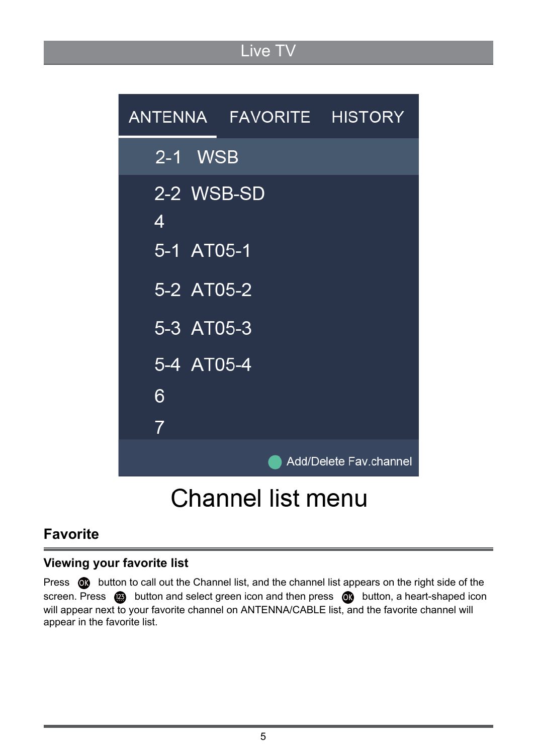### Live TV

|   |                 |                                                                                           | ANTENNA FAVORITE HISTORY |
|---|-----------------|-------------------------------------------------------------------------------------------|--------------------------|
|   | 2-1 WSB         |                                                                                           |                          |
| 4 | 2-2 WSB-SD      |                                                                                           |                          |
|   | 5-1 AT05-1      |                                                                                           |                          |
|   | 5-2 AT05-2      |                                                                                           |                          |
|   | 5-3 AT05-3      |                                                                                           |                          |
|   | 5-4 AT05-4      |                                                                                           |                          |
| 6 |                 |                                                                                           |                          |
| 7 |                 |                                                                                           |                          |
|   |                 |                                                                                           | Add/Delete Fav.channel   |
|   | $\bigcap$ homes | $\overline{1}$ $\overline{1}$ $\overline{2}$ $\overline{4}$ $\overline{2}$ $\overline{2}$ |                          |

## Channel list menu

### <span id="page-7-0"></span>**Favorite**

### **Viewing your favorite list**

Press  $\bullet$  button to call out the Channel list, and the channel list appears on the right side of the screen. Press  $\circledR$  button and select green icon and then press  $\circledR$  button, a heart-shaped icon will appear next to your favorite channel on ANTENNA/CABLE list, and the favorite channel will appear in the favorite list.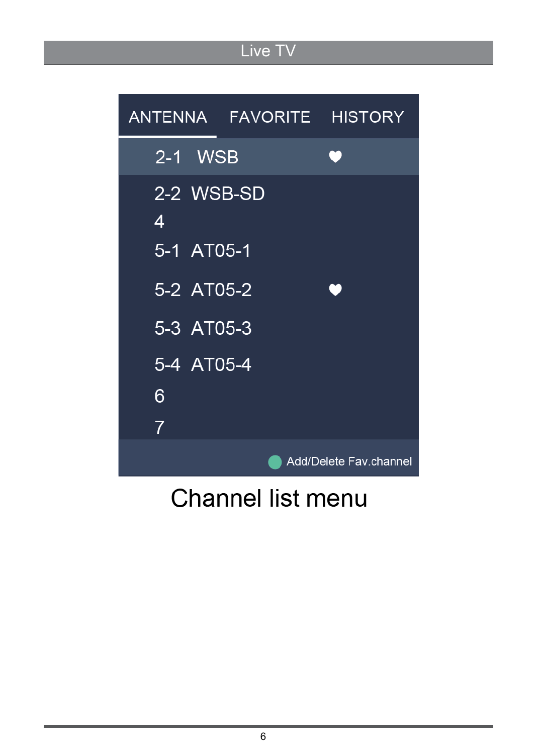## Live TV

|                 | ANTENNA FAVORITE HISTORY |                        |
|-----------------|--------------------------|------------------------|
| 2-1 WSB         |                          | W                      |
| 2-2 WSB-SD<br>4 |                          |                        |
| 5-1 AT05-1      |                          |                        |
| 5-2 AT05-2      |                          | D                      |
| 5-3 AT05-3      |                          |                        |
| 5-4 AT05-4      |                          |                        |
| 6               |                          |                        |
| $\overline{7}$  |                          |                        |
|                 |                          | Add/Delete Fav.channel |

## Channel list menu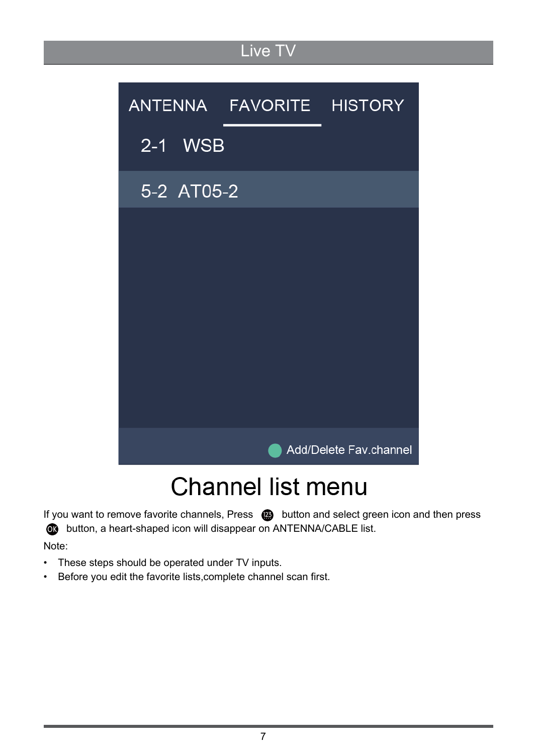

## **Channel list menu**

If you want to remove favorite channels, Press  $\circledR$  button and select green icon and then press *O* button, a heart-shaped icon will disappear on ANTENNA/CABLE list.

Note:

- These steps should be operated under TV inputs.
- Before you edit the favorite lists,complete channel scan first.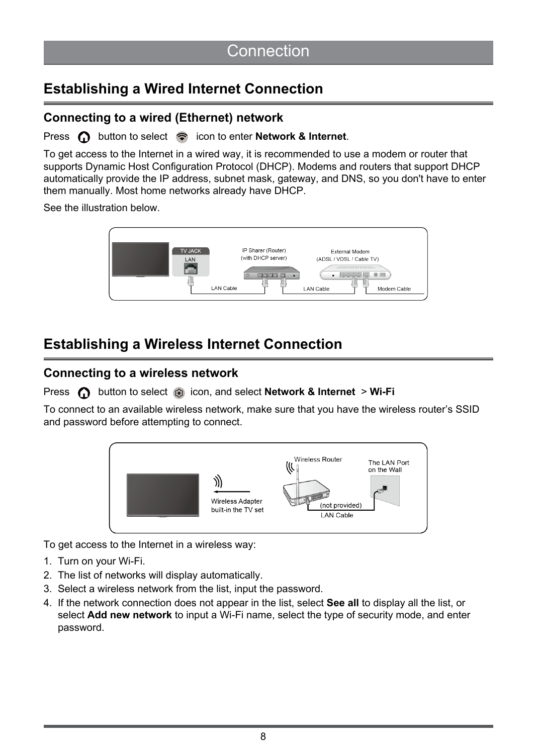### <span id="page-10-0"></span>**Establishing a Wired Internet Connection**

#### **Connecting to a wired (Ethernet) network**

**Press**  $\Omega$  button to select  $\epsilon$  icon to enter **Network & Internet**.

To get access to the Internet in a wired way, it is recommended to use a modem or router that supports Dynamic Host Configuration Protocol (DHCP). Modems and routers that support DHCP automatically provide the IP address, subnet mask, gateway, and DNS, so you don't have to enter them manually. Most home networks already have DHCP.

See the illustration below.



### <span id="page-10-1"></span>**Establishing a Wireless Internet Connection**

#### **Connecting to a wireless network**

**Press f** button to select  $\odot$  icon, and select **Network & Internet > Wi-Fi** 

To connect to an available wireless network, make sure that you have the wireless router's SSID and password before attempting to connect.



To get access to the Internet in a wireless way:

- 1. Turn on your Wi-Fi.
- 2. The list of networks will display automatically.
- 3. Select a wireless network from the list, input the password.
- 4. If the network connection does not appear in the list, select **See all** to display all the list, or select **Add new network** to input a Wi-Fi name, select the type of security mode, and enter password.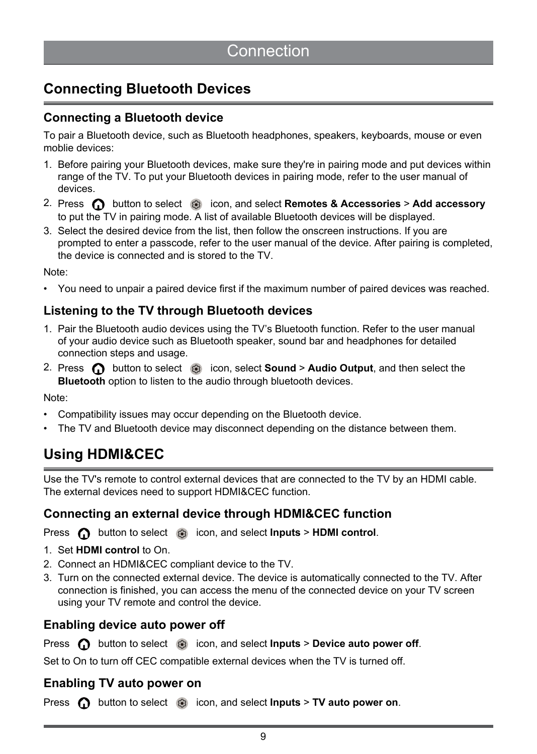### <span id="page-11-0"></span>**Connecting Bluetooth Devices**

#### **Connecting a Bluetooth device**

To pair a Bluetooth device, such as Bluetooth headphones, speakers, keyboards, mouse or even moblie devices:

- 1. Before pairing your Bluetooth devices, make sure they're in pairing mode and put devices within range of the TV. To put your Bluetooth devices in pairing mode, refer to the user manual of devices.
- 2. Press **c** button to select  $\odot$  icon, and select **Remotes & Accessories** > Add accessory to put the TV in pairing mode. A list of available Bluetooth devices will be displayed.
- 3. Select the desired device from the list, then follow the onscreen instructions. If you are prompted to enter a passcode, refer to the user manual of the device. After pairing is completed, the device is connected and is stored to the TV.

Note:

• You need to unpair a paired device first if the maximum number of paired devices was reached.

#### **Listening to the TV through Bluetooth devices**

- 1. Pair the Bluetooth audio devices using the TV's Bluetooth function. Refer to the user manual of your audio device such as Bluetooth speaker, sound bar and headphones for detailed connection steps and usage.
- 2. Press **c** button to select  $\odot$  icon, select **Sound** > **Audio Output**, and then select the **Bluetooth** option to listen to the audio through bluetooth devices.

Note:

- Compatibility issues may occur depending on the Bluetooth device.
- The TV and Bluetooth device may disconnect depending on the distance between them.

### <span id="page-11-1"></span>**Using HDMI&CEC**

Use the TV's remote to control external devices that are connected to the TV by an HDMI cable. The external devices need to support HDMI&CEC function.

#### **Connecting an external device through HDMI&CEC function**

Press  $\bigcap$  button to select  $\bigcirc$  icon, and select **Inputs** > **HDMI control**.

- 1. Set **HDMI control** to On.
- 2. Connect an HDMI&CEC compliant device to the TV.
- 3. Turn on the connected external device. The device is automatically connected to the TV. After connection is finished, you can access the menu of the connected device on your TV screen using your TV remote and control the device.

#### **Enabling device auto power off**

**Press c** button to select  $\odot$  icon, and select **Inputs** > **Device auto power off.** 

Set to On to turn off CEC compatible external devices when the TV is turned off.

#### **Enabling TV auto power on**

Press **c** button to select  $\odot$  icon, and select **Inputs** > **TV auto power on**.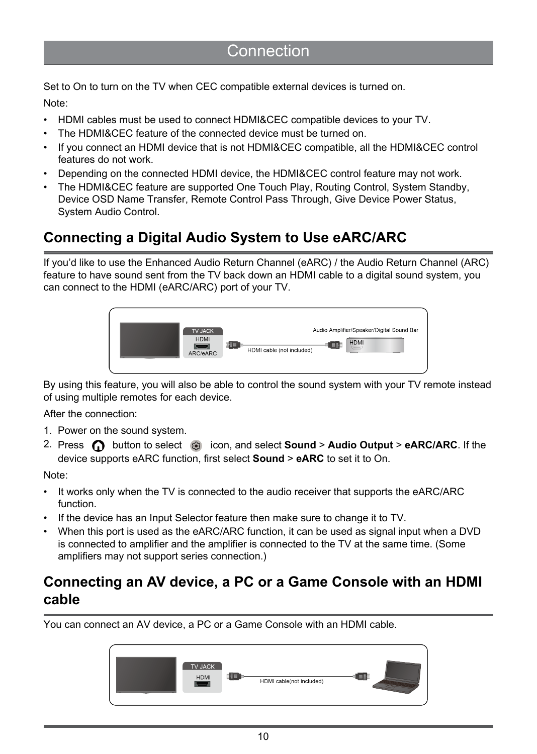Set to On to turn on the TV when CEC compatible external devices is turned on.

Note:

- HDMI cables must be used to connect HDMI&CEC compatible devices to your TV.
- The HDMI&CEC feature of the connected device must be turned on.
- If you connect an HDMI device that is not HDMI&CEC compatible, all the HDMI&CEC control features do not work.
- Depending on the connected HDMI device, the HDMI&CEC control feature may not work.
- The HDMI&CEC feature are supported One Touch Play, Routing Control, System Standby, Device OSD Name Transfer, Remote Control Pass Through, Give Device Power Status, System Audio Control.

### <span id="page-12-0"></span>**Connecting a Digital Audio System to Use eARC/ARC**

If you'd like to use the Enhanced Audio Return Channel (eARC) / the Audio Return Channel (ARC) feature to have sound sent from the TV back down an HDMI cable to a digital sound system, you can connect to the HDMI (eARC/ARC) port of your TV.



By using this feature, you will also be able to control the sound system with your TV remote instead of using multiple remotes for each device.

After the connection:

- 1. Power on the sound system.
- 2. Press **c** button to select  $\odot$  icon, and select **Sound** > **Audio Output** > **eARC/ARC**. If the device supports eARC function, first select **Sound** > **eARC** to set it to On.

Note:

- It works only when the TV is connected to the audio receiver that supports the eARC/ARC function.
- If the device has an Input Selector feature then make sure to change it to TV.
- When this port is used as the eARC/ARC function, it can be used as signal input when a DVD is connected to amplifier and the amplifier is connected to the TV at the same time. (Some amplifiers may not support series connection.)

### <span id="page-12-1"></span>**Connecting an AV device, a PC or a Game Console with an HDMI cable**

You can connect an AV device, a PC or a Game Console with an HDMI cable.

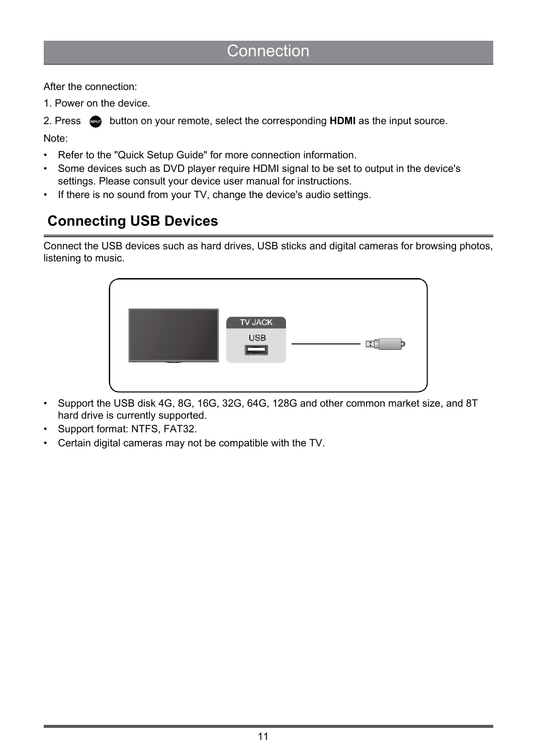After the connection:

1. Power on the device.

2. Press button on your remote, select the corresponding **HDMI** as the input source.

Note:

- Refer to the "Quick Setup Guide" for more connection information.
- Some devices such as DVD player require HDMI signal to be set to output in the device's settings. Please consult your device user manual for instructions.
- If there is no sound from your TV, change the device's audio settings.

### <span id="page-13-0"></span> **Connecting USB Devices**

Connect the USB devices such as hard drives, USB sticks and digital cameras for browsing photos, listening to music.



- Support the USB disk 4G, 8G, 16G, 32G, 64G, 128G and other common market size, and 8T hard drive is currently supported.
- Support format: NTFS, FAT32.
- Certain digital cameras may not be compatible with the TV.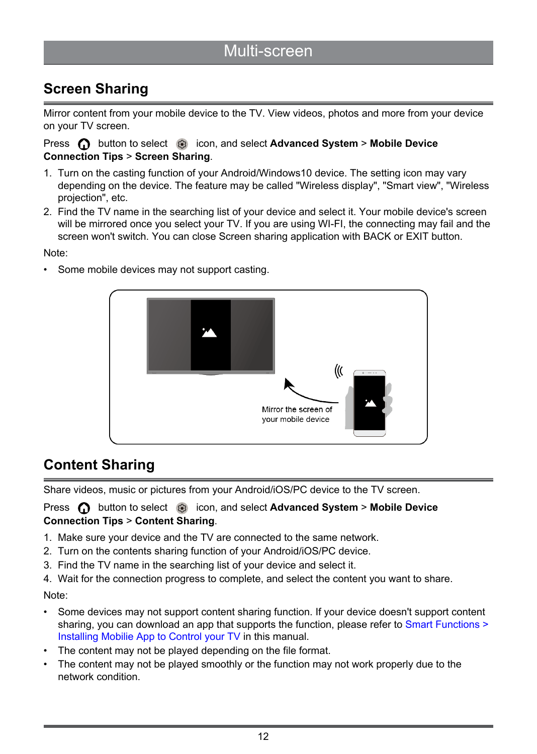### Multi-screen

### <span id="page-14-0"></span>**Screen Sharing**

Mirror content from your mobile device to the TV. View videos, photos and more from your device on your TV screen.

Press **C** button to select  $\odot$  icon, and select **Advanced System** > Mobile Device **Connection Tips** > **Screen Sharing**.

- 1. Turn on the casting function of your Android/Windows10 device. The setting icon may vary depending on the device. The feature may be called "Wireless display", "Smart view", "Wireless projection", etc.
- 2. Find the TV name in the searching list of your device and select it. Your mobile device's screen will be mirrored once you select your TV. If you are using WI-FI, the connecting may fail and the screen won't switch. You can close Screen sharing application with BACK or EXIT button.

Note:

• Some mobile devices may not support casting.



### <span id="page-14-1"></span>**Content Sharing**

Share videos, music or pictures from your Android/iOS/PC device to the TV screen.

**Press c** button to select  $\circledast$  icon, and select **Advanced System** > **Mobile Device Connection Tips** > **Content Sharing**.

- 1. Make sure your device and the TV are connected to the same network.
- 2. Turn on the contents sharing function of your Android/iOS/PC device.
- 3. Find the TV name in the searching list of your device and select it.

4. Wait for the connection progress to complete, and select the content you want to share.

Note:

- Some devices may not support content sharing function. If your device doesn't support content sharing, you can download an app that supports the function, please refer t[o Smart Functions >](#page-22-1) [Installing Mobilie App to Control your TV](#page-22-1) in this manual.
- The content may not be played depending on the file format.
- The content may not be played smoothly or the function may not work properly due to the network condition.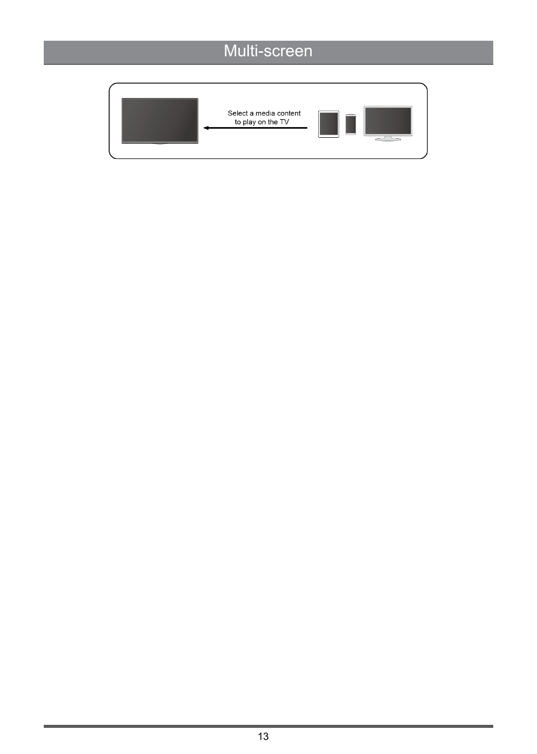### Multi-screen

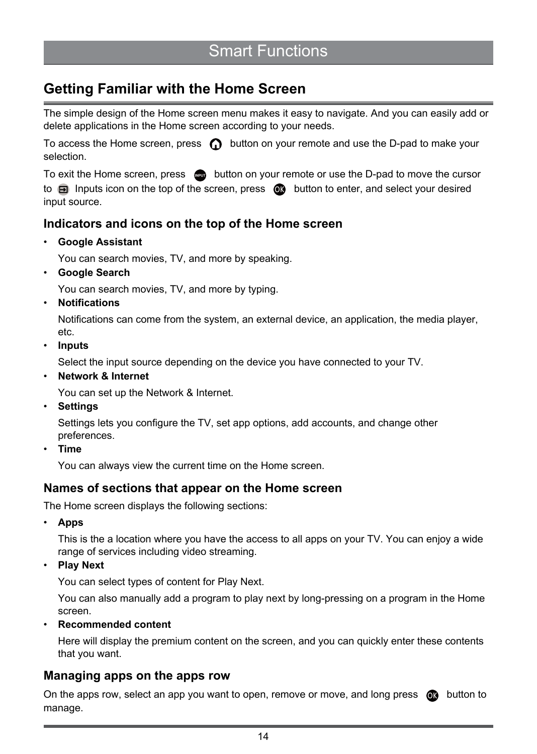### <span id="page-16-0"></span>**Getting Familiar with the Home Screen**

The simple design of the Home screen menu makes it easy to navigate. And you can easily add or delete applications in the Home screen according to your needs.

To access the Home screen, press  $\bigcirc$  button on your remote and use the D-pad to make your selection.

To exit the Home screen, press so button on your remote or use the D-pad to move the cursor to  $\Box$  Inputs icon on the top of the screen, press  $\Box$  button to enter, and select your desired input source.

### **Indicators and icons on the top of the Home screen**

• **Google Assistant**

You can search movies, TV, and more by speaking.

• **Google Search**

You can search movies, TV, and more by typing.

• **Notifications**

Notifications can come from the system, an external device, an application, the media player, etc.

• **Inputs**

Select the input source depending on the device you have connected to your TV.

• **Network & Internet**

You can set up the Network & Internet.

• **Settings**

Settings lets you configure the TV, set app options, add accounts, and change other preferences.

• **Time**

You can always view the current time on the Home screen.

#### **Names of sections that appear on the Home screen**

The Home screen displays the following sections:

• **Apps**

This is the a location where you have the access to all apps on your TV. You can enjoy a wide range of services including video streaming.

• **Play Next**

You can select types of content for Play Next.

You can also manually add a program to play next by long-pressing on a program in the Home screen.

• **Recommended content**

Here will display the premium content on the screen, and you can quickly enter these contents that you want.

#### **Managing apps on the apps row**

On the apps row, select an app you want to open, remove or move, and long press  $\bullet$  button to manage.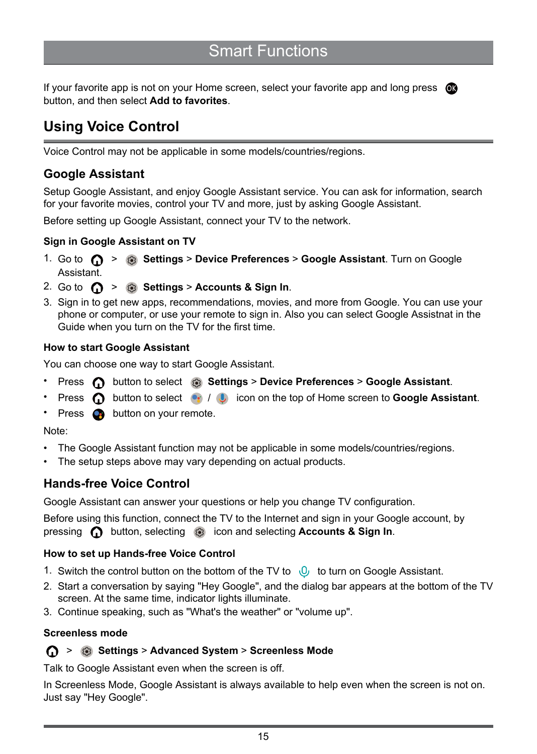### Smart Functions

If your favorite app is not on your Home screen, select your favorite app and long press  $\bullet$ button, and then select **Add to favorites**.

### <span id="page-17-0"></span>**Using Voice Control**

Voice Control may not be applicable in some models/countries/regions.

#### **Google Assistant**

Setup Google Assistant, and enjoy Google Assistant service. You can ask for information, search for your favorite movies, control your TV and more, just by asking Google Assistant.

Before setting up Google Assistant, connect your TV to the network.

#### **Sign in Google Assistant on TV**

- 1. Go to > **Settings** > **Device Preferences** > **Google Assistant**. Turn on Google Assistant.
- 2. Go to  $\bigcirc$  >  $\bigcirc$  **Settings** > Accounts & Sign In.
- 3. Sign in to get new apps, recommendations, movies, and more from Google. You can use your phone or computer, or use your remote to sign in. Also you can select Google Assistnat in the Guide when you turn on the TV for the first time.

#### <span id="page-17-1"></span>**How to start Google Assistant**

You can choose one way to start Google Assistant.

- **Press fouton to select <b>Settings** > Device Preferences > Google Assistant.
- **Press C** button to select *i i l b* icon on the top of Home screen to **Google Assistant**.
- Press  $\bullet$  button on your remote.

Note:

- The Google Assistant function may not be applicable in some models/countries/regions.
- The setup steps above may vary depending on actual products.

### **Hands-free Voice Control**

Google Assistant can answer your questions or help you change TV configuration.

Before using this function, connect the TV to the Internet and sign in your Google account, by pressing  $\Omega$  button, selecting  $\otimes$  icon and selecting **Accounts & Sign In**.

#### **How to set up Hands-free Voice Control**

- 1. Switch the control button on the bottom of the TV to  $\mathbb O$  to turn on Google Assistant.
- 2. Start a conversation by saying "Hey Google", and the dialog bar appears at the bottom of the TV screen. At the same time, indicator lights illuminate.
- 3. Continue speaking, such as "What's the weather" or "volume up".

#### **Screenless mode**

#### > **Settings** > **Advanced System** > **Screenless Mode**

Talk to Google Assistant even when the screen is off.

In Screenless Mode, Google Assistant is always available to help even when the screen is not on. Just say "Hey Google".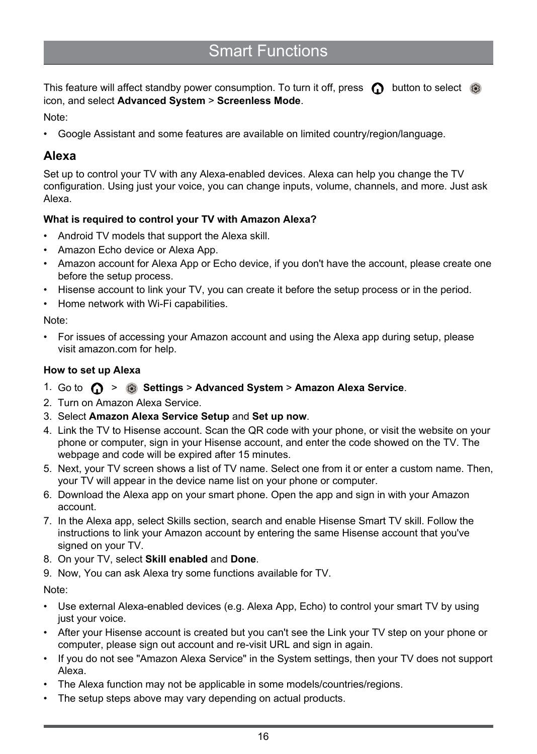This feature will affect standby power consumption. To turn it off, press  $\bigcap$  button to select  $\bigcirc$ icon, and select **Advanced System** > **Screenless Mode**.

Note:

• Google Assistant and some features are available on limited country/region/language.

#### **Alexa**

Set up to control your TV with any Alexa-enabled devices. Alexa can help you change the TV configuration. Using just your voice, you can change inputs, volume, channels, and more. Just ask Alexa.

#### <span id="page-18-0"></span>**What is required to control your TV with Amazon Alexa?**

- Android TV models that support the Alexa skill.
- Amazon Echo device or Alexa App.
- Amazon account for Alexa App or Echo device, if you don't have the account, please create one before the setup process.
- Hisense account to link your TV, you can create it before the setup process or in the period.
- Home network with Wi-Fi capabilities.

Note:

• For issues of accessing your Amazon account and using the Alexa app during setup, please visit amazon.com for help.

#### **How to set up Alexa**

- 1. Go to > **Settings** > **Advanced System** > **Amazon Alexa Service**.
- 2. Turn on Amazon Alexa Service.
- 3. Select **Amazon Alexa Service Setup** and **Set up now**.
- 4. Link the TV to Hisense account. Scan the QR code with your phone, or visit the website on your phone or computer, sign in your Hisense account, and enter the code showed on the TV. The webpage and code will be expired after 15 minutes.
- 5. Next, your TV screen shows a list of TV name. Select one from it or enter a custom name. Then, your TV will appear in the device name list on your phone or computer.
- 6. Download the Alexa app on your smart phone. Open the app and sign in with your Amazon account.
- 7. In the Alexa app, select Skills section, search and enable Hisense Smart TV skill. Follow the instructions to link your Amazon account by entering the same Hisense account that you've signed on your TV.
- 8. On your TV, select **Skill enabled** and **Done**.
- 9. Now, You can ask Alexa try some functions available for TV.

Note:

- Use external Alexa-enabled devices (e.g. Alexa App, Echo) to control your smart TV by using just your voice.
- After your Hisense account is created but you can't see the Link your TV step on your phone or computer, please sign out account and re-visit URL and sign in again.
- If you do not see "Amazon Alexa Service" in the System settings, then your TV does not support Alexa.
- The Alexa function may not be applicable in some models/countries/regions.
- The setup steps above may vary depending on actual products.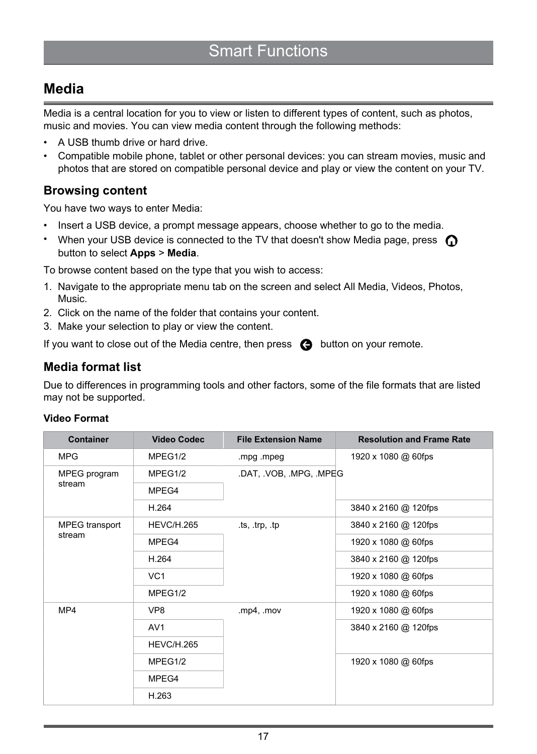### <span id="page-19-0"></span>**Media**

Media is a central location for you to view or listen to different types of content, such as photos, music and movies. You can view media content through the following methods:

- A USB thumb drive or hard drive.
- Compatible mobile phone, tablet or other personal devices: you can stream movies, music and photos that are stored on compatible personal device and play or view the content on your TV.

#### **Browsing content**

You have two ways to enter Media:

- Insert a USB device, a prompt message appears, choose whether to go to the media.
- When your USB device is connected to the TV that doesn't show Media page, press  $\bigcirc$ button to select **Apps** > **Media**.

To browse content based on the type that you wish to access:

- 1. Navigate to the appropriate menu tab on the screen and select All Media, Videos, Photos, Music.
- 2. Click on the name of the folder that contains your content.
- 3. Make your selection to play or view the content.

If you want to close out of the Media centre, then press  $\bigodot$  button on your remote.

#### **Media format list**

Due to differences in programming tools and other factors, some of the file formats that are listed may not be supported.

| <b>Container</b> | <b>Video Codec</b> | <b>File Extension Name</b> | <b>Resolution and Frame Rate</b> |                     |
|------------------|--------------------|----------------------------|----------------------------------|---------------------|
| <b>MPG</b>       | MPEG1/2            | .mpg .mpeg                 | 1920 x 1080 @ 60fps              |                     |
| MPEG program     | MPEG1/2            | .DAT, .VOB, .MPG, .MPEG    |                                  |                     |
| stream           | MPEG4              |                            |                                  |                     |
|                  | H.264              |                            | 3840 x 2160 @ 120fps             |                     |
| MPEG transport   | <b>HEVC/H.265</b>  | its, trp, tp               | 3840 x 2160 @ 120fps             |                     |
| stream           | MPEG4              |                            | 1920 x 1080 @ 60fps              |                     |
|                  | H.264              |                            | 3840 x 2160 @ 120fps             |                     |
|                  | VC <sub>1</sub>    |                            | 1920 x 1080 @ 60fps              |                     |
|                  | MPEG1/2            |                            | 1920 x 1080 @ 60fps              |                     |
| MP4              | VP8                | .mp4, .mov                 | 1920 x 1080 @ 60fps              |                     |
|                  | AV <sub>1</sub>    |                            | 3840 x 2160 @ 120fps             |                     |
|                  | <b>HEVC/H.265</b>  |                            |                                  |                     |
|                  | MPEG1/2            |                            |                                  | 1920 x 1080 @ 60fps |
|                  | MPEG4              |                            |                                  |                     |
|                  | H.263              |                            |                                  |                     |

#### **Video Format**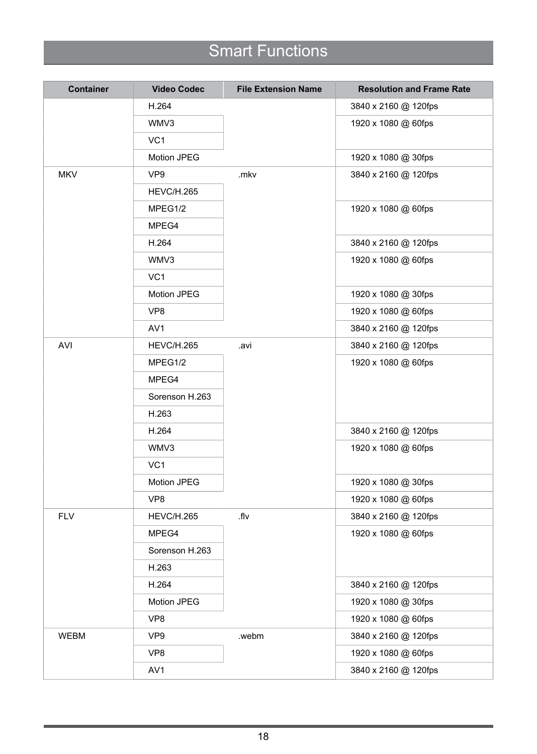## Smart Functions

| <b>Container</b> | <b>Video Codec</b> | <b>File Extension Name</b> | <b>Resolution and Frame Rate</b> |
|------------------|--------------------|----------------------------|----------------------------------|
|                  | H.264              |                            | 3840 x 2160 @ 120fps             |
|                  | WMV3               |                            | 1920 x 1080 @ 60fps              |
|                  | VC <sub>1</sub>    |                            |                                  |
|                  | Motion JPEG        |                            | 1920 x 1080 @ 30fps              |
| <b>MKV</b>       | VP <sub>9</sub>    | .mkv                       | 3840 x 2160 @ 120fps             |
|                  | <b>HEVC/H.265</b>  |                            |                                  |
|                  | MPEG1/2            |                            | 1920 x 1080 @ 60fps              |
|                  | MPEG4              |                            |                                  |
|                  | H.264              |                            | 3840 x 2160 @ 120fps             |
|                  | WMV3               |                            | 1920 x 1080 @ 60fps              |
|                  | VC <sub>1</sub>    |                            |                                  |
|                  | Motion JPEG        |                            | 1920 x 1080 @ 30fps              |
|                  | VP8                |                            | 1920 x 1080 @ 60fps              |
|                  | AV <sub>1</sub>    |                            | 3840 x 2160 @ 120fps             |
| AVI              | <b>HEVC/H.265</b>  | .avi                       | 3840 x 2160 @ 120fps             |
|                  | MPEG1/2            |                            | 1920 x 1080 @ 60fps              |
|                  | MPEG4              |                            |                                  |
|                  | Sorenson H.263     |                            |                                  |
|                  | H.263              |                            |                                  |
|                  | H.264              |                            | 3840 x 2160 @ 120fps             |
|                  | WMV3               |                            | 1920 x 1080 @ 60fps              |
|                  | VC <sub>1</sub>    |                            |                                  |
|                  | Motion JPEG        |                            | 1920 x 1080 @ 30fps              |
|                  | VP8                |                            | 1920 x 1080 @ 60fps              |
| <b>FLV</b>       | <b>HEVC/H.265</b>  | .flv                       | 3840 x 2160 @ 120fps             |
|                  | MPEG4              |                            | 1920 x 1080 @ 60fps              |
|                  | Sorenson H.263     |                            |                                  |
|                  | H.263              |                            |                                  |
|                  | H.264              |                            | 3840 x 2160 @ 120fps             |
|                  | Motion JPEG        |                            | 1920 x 1080 @ 30fps              |
|                  | VP8                |                            | 1920 x 1080 @ 60fps              |
| <b>WEBM</b>      | VP <sub>9</sub>    | .webm                      | 3840 x 2160 @ 120fps             |
|                  | VP8                |                            | 1920 x 1080 @ 60fps              |
|                  | AV <sub>1</sub>    |                            | 3840 x 2160 @ 120fps             |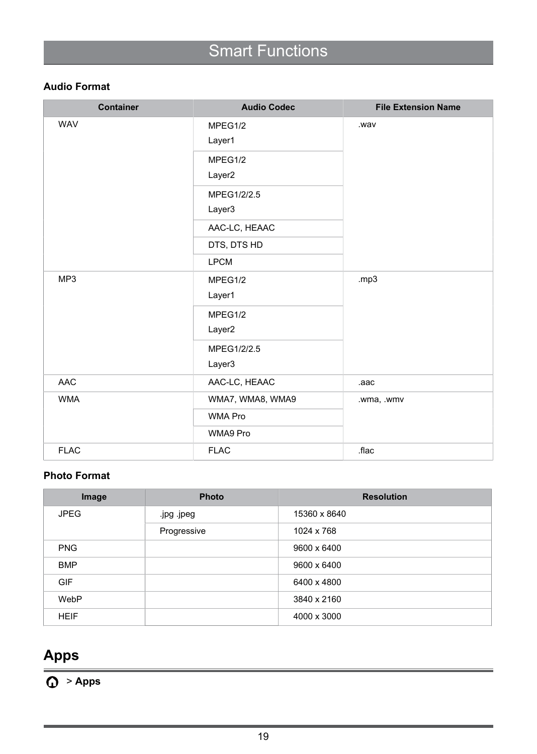## Smart Functions

#### **Audio Format**

| <b>Container</b> | <b>Audio Codec</b>            | <b>File Extension Name</b> |
|------------------|-------------------------------|----------------------------|
| <b>WAV</b>       | MPEG1/2<br>Layer1             | .wav                       |
|                  | MPEG1/2<br>Layer <sub>2</sub> |                            |
|                  | MPEG1/2/2.5<br>Layer3         |                            |
|                  | AAC-LC, HEAAC                 |                            |
|                  | DTS, DTS HD                   |                            |
|                  | <b>LPCM</b>                   |                            |
| MP3              | MPEG1/2<br>Layer1             | mp3                        |
|                  | MPEG1/2<br>Layer <sub>2</sub> |                            |
|                  | MPEG1/2/2.5<br>Layer3         |                            |
| AAC              | AAC-LC, HEAAC                 | .aac                       |
| <b>WMA</b>       | WMA7, WMA8, WMA9              | .wma, .wmv                 |
|                  | <b>WMA Pro</b>                |                            |
|                  | WMA9 Pro                      |                            |
| <b>FLAC</b>      | <b>FLAC</b>                   | .flac                      |

#### **Photo Format**

| Image       | <b>Photo</b> | <b>Resolution</b> |
|-------------|--------------|-------------------|
| <b>JPEG</b> | .jpg .jpeg   | 15360 x 8640      |
|             | Progressive  | 1024 x 768        |
| <b>PNG</b>  |              | 9600 x 6400       |
| <b>BMP</b>  |              | 9600 x 6400       |
| <b>GIF</b>  |              | 6400 x 4800       |
| WebP        |              | 3840 x 2160       |
| <b>HEIF</b> |              | 4000 x 3000       |

### <span id="page-21-0"></span>**Apps**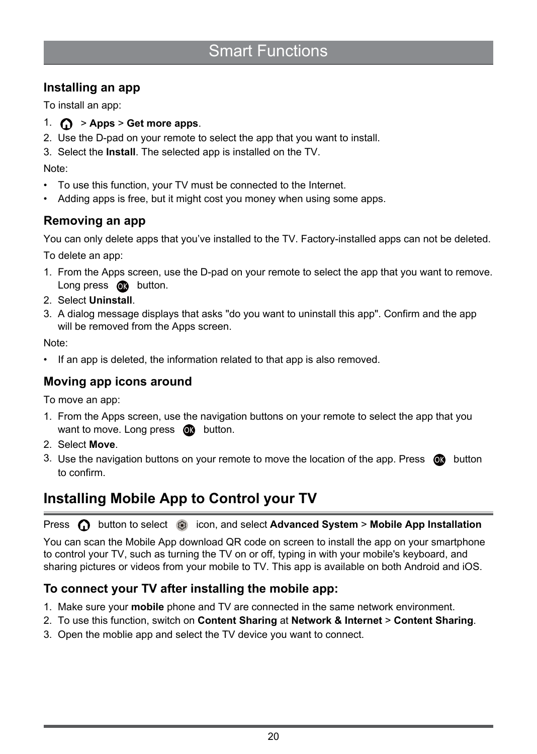### **Installing an app**

To install an app:

- 1.> **Apps** > **Get more apps**.
- 2. Use the D-pad on your remote to select the app that you want to install.
- 3. Select the **Install**. The selected app is installed on the TV.

Note:

- To use this function, your TV must be connected to the Internet.
- Adding apps is free, but it might cost you money when using some apps.

### **Removing an app**

You can only delete apps that you've installed to the TV. Factory-installed apps can not be deleted.

To delete an app:

- 1. From the Apps screen, use the D-pad on your remote to select the app that you want to remove. Long press **of** button.
- 2. Select **Uninstall**.
- 3. A dialog message displays that asks "do you want to uninstall this app". Confirm and the app will be removed from the Apps screen.

Note:

• If an app is deleted, the information related to that app is also removed.

### **Moving app icons around**

To move an app:

- 1. From the Apps screen, use the navigation buttons on your remote to select the app that you want to move. Long press  $\circled{m}$  button.
- 2. Select **Move**.
- 3. Use the navigation buttons on your remote to move the location of the app. Press  $\bigcirc$  button to confirm.

### <span id="page-22-0"></span>**Installing Mobile App to Control your TV**

**Press c** button to select  $\circledast$  icon, and select **Advanced System** > **Mobile App Installation** 

You can scan the Mobile App download QR code on screen to install the app on your smartphone to control your TV, such as turning the TV on or off, typing in with your mobile's keyboard, and sharing pictures or videos from your mobile to TV. This app is available on both Android and iOS.

### <span id="page-22-1"></span>**To connect your TV after installing the mobile app:**

- 1. Make sure your **mobile** phone and TV are connected in the same network environment.
- 2. To use this function, switch on **Content Sharing** at **Network & Internet** > **Content Sharing**.
- 3. Open the moblie app and select the TV device you want to connect.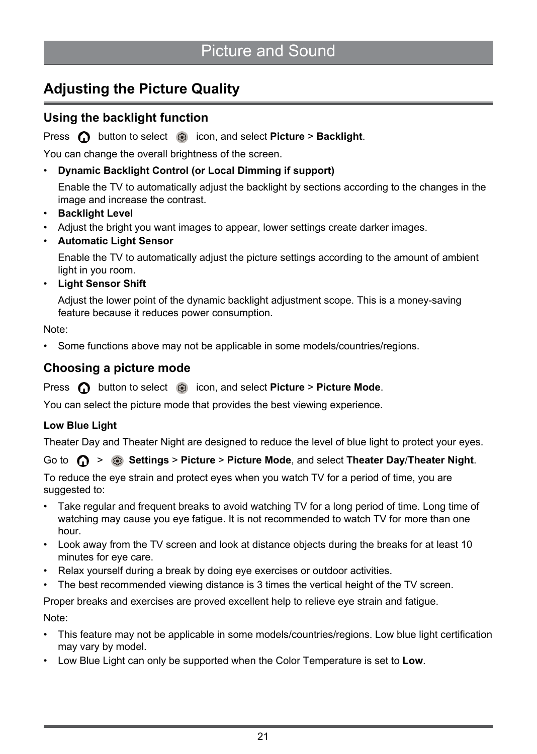### <span id="page-23-0"></span>**Adjusting the Picture Quality**

#### **Using the backlight function**

Press  $\bigcirc$  button to select  $\bigcirc$  icon, and select **Picture** > **Backlight**.

You can change the overall brightness of the screen.

• **Dynamic Backlight Control (or Local Dimming if support)**

Enable the TV to automatically adjust the backlight by sections according to the changes in the image and increase the contrast.

- **Backlight Level**
- Adjust the bright you want images to appear, lower settings create darker images.
- **Automatic Light Sensor**

Enable the TV to automatically adjust the picture settings according to the amount of ambient light in you room.

• **Light Sensor Shift**

Adjust the lower point of the dynamic backlight adjustment scope. This is a money-saving feature because it reduces power consumption.

Note:

• Some functions above may not be applicable in some models/countries/regions.

#### **Choosing a picture mode**

#### **Press Conductor to select in the icon, and select Picture > Picture Mode.**

You can select the picture mode that provides the best viewing experience.

#### **Low Blue Light**

Theater Day and Theater Night are designed to reduce the level of blue light to protect your eyes.

#### Go to > **Settings** > **Picture** > **Picture Mode**, and select **Theater Day**/**Theater Night**.

To reduce the eye strain and protect eyes when you watch TV for a period of time, you are suggested to:

- Take regular and frequent breaks to avoid watching TV for a long period of time. Long time of watching may cause you eye fatigue. It is not recommended to watch TV for more than one hour.
- Look away from the TV screen and look at distance objects during the breaks for at least 10 minutes for eye care.
- Relax yourself during a break by doing eye exercises or outdoor activities.
- The best recommended viewing distance is 3 times the vertical height of the TV screen.

Proper breaks and exercises are proved excellent help to relieve eye strain and fatigue. Note:

- This feature may not be applicable in some models/countries/regions. Low blue light certification may vary by model.
- Low Blue Light can only be supported when the Color Temperature is set to **Low**.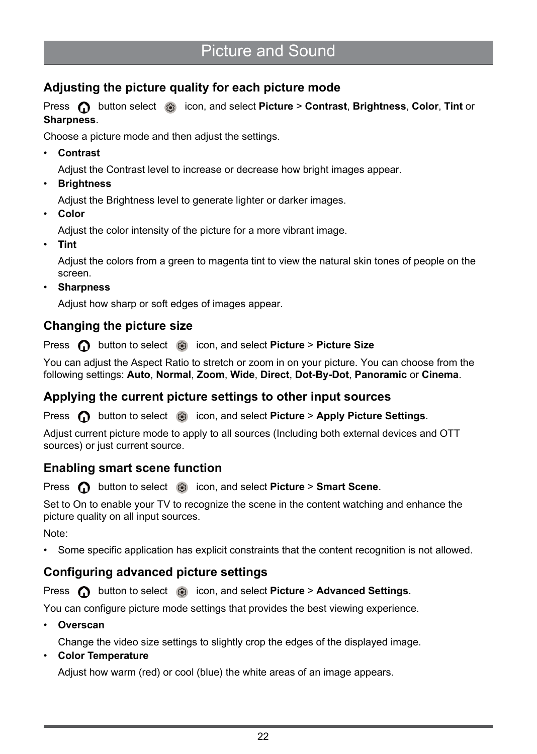### **Adjusting the picture quality for each picture mode**

**Press** button select  $\odot$  icon, and select **Picture** > **Contrast**, **Brightness**, **Color**, **Tint** or **Sharpness**.

Choose a picture mode and then adjust the settings.

• **Contrast**

Adjust the Contrast level to increase or decrease how bright images appear.

• **Brightness**

Adjust the Brightness level to generate lighter or darker images.

• **Color**

Adjust the color intensity of the picture for a more vibrant image.

• **Tint**

Adjust the colors from a green to magenta tint to view the natural skin tones of people on the screen.

• **Sharpness**

Adjust how sharp or soft edges of images appear.

### **Changing the picture size**

**Press**  $\bigcap$  button to select  $\bigcirc$  icon, and select **Picture** > **Picture Size** 

You can adjust the Aspect Ratio to stretch or zoom in on your picture. You can choose from the following settings: **Auto**, **Normal**, **Zoom**, **Wide**, **Direct**, **Dot-By-Dot**, **Panoramic** or **Cinema**.

### **Applying the current picture settings to other input sources**

**Press follow** button to select  $\otimes$  icon, and select **Picture** > **Apply Picture Settings.** 

Adjust current picture mode to apply to all sources (Including both external devices and OTT sources) or just current source.

#### **Enabling smart scene function**

**Press c** button to select  $\otimes$  icon, and select **Picture** > **Smart Scene**.

Set to On to enable your TV to recognize the scene in the content watching and enhance the picture quality on all input sources.

Note:

• Some specific application has explicit constraints that the content recognition is not allowed.

### **Configuring advanced picture settings**

**Press c** button to select **is i**con, and select **Picture** > **Advanced Settings**.

You can configure picture mode settings that provides the best viewing experience.

• **Overscan**

Change the video size settings to slightly crop the edges of the displayed image.

• **Color Temperature**

Adjust how warm (red) or cool (blue) the white areas of an image appears.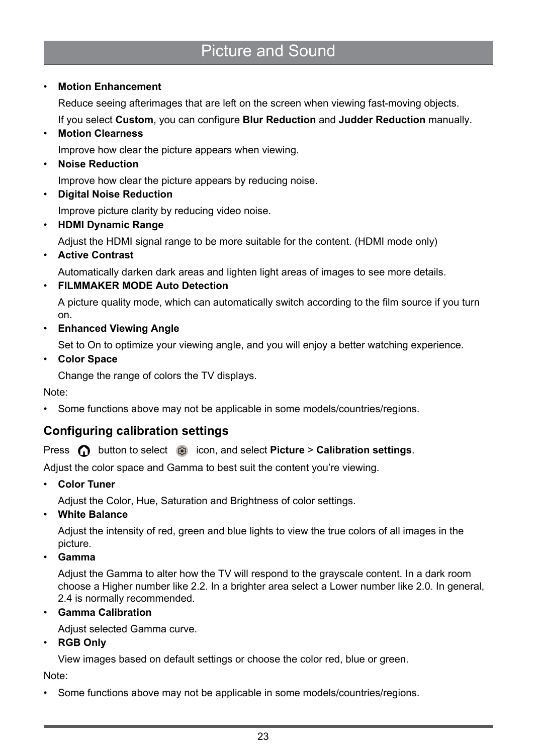#### • **Motion Enhancement**

Reduce seeing afterimages that are left on the screen when viewing fast-moving objects.

If you select **Custom**, you can configure **Blur Reduction** and **Judder Reduction** manually.

#### • **Motion Clearness**

Improve how clear the picture appears when viewing.

• **Noise Reduction**

Improve how clear the picture appears by reducing noise.

• **Digital Noise Reduction**

Improve picture clarity by reducing video noise.

• **HDMI Dynamic Range**

Adjust the HDMI signal range to be more suitable for the content. (HDMI mode only)

• **Active Contrast**

Automatically darken dark areas and lighten light areas of images to see more details.

• **FILMMAKER MODE Auto Detection**

A picture quality mode, which can automatically switch according to the film source if you turn on.

• **Enhanced Viewing Angle**

Set to On to optimize your viewing angle, and you will enjoy a better watching experience.

• **Color Space**

Change the range of colors the TV displays.

Note:

• Some functions above may not be applicable in some models/countries/regions.

### **Configuring calibration settings**

**Press f** button to select  $\odot$  icon, and select **Picture** > **Calibration settings**.

Adjust the color space and Gamma to best suit the content you're viewing.

• **Color Tuner**

Adjust the Color, Hue, Saturation and Brightness of color settings.

• **White Balance**

Adjust the intensity of red, green and blue lights to view the true colors of all images in the picture.

• **Gamma**

Adjust the Gamma to alter how the TV will respond to the grayscale content. In a dark room choose a Higher number like 2.2. In a brighter area select a Lower number like 2.0. In general, 2.4 is normally recommended.

• **Gamma Calibration**

Adjust selected Gamma curve.

• **RGB Only**

View images based on default settings or choose the color red, blue or green.

Note:

• Some functions above may not be applicable in some models/countries/regions.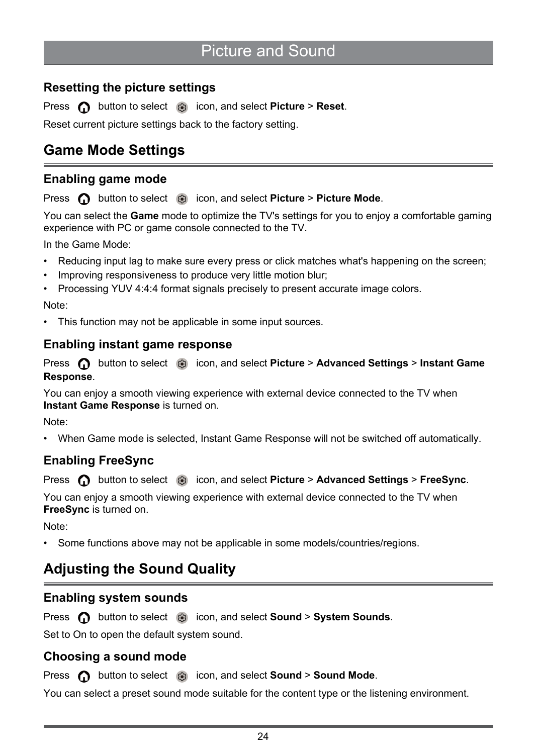### **Resetting the picture settings**

**Press c** button to select  $\odot$  icon, and select **Picture** > **Reset**.

Reset current picture settings back to the factory setting.

### <span id="page-26-0"></span>**Game Mode Settings**

#### **Enabling game mode**

**Press c** button to select **c** icon, and select **Picture** > **Picture Mode**.

You can select the **Game** mode to optimize the TV's settings for you to enjoy a comfortable gaming experience with PC or game console connected to the TV.

In the Game Mode:

- Reducing input lag to make sure every press or click matches what's happening on the screen;
- Improving responsiveness to produce very little motion blur;
- Processing YUV 4:4:4 format signals precisely to present accurate image colors.

Note:

• This function may not be applicable in some input sources.

#### **Enabling instant game response**

Press **C** button to select  $\odot$  icon, and select **Picture** > **Advanced Settings** > Instant Game **Response**.

You can enjoy a smooth viewing experience with external device connected to the TV when **Instant Game Response** is turned on.

Note:

• When Game mode is selected, Instant Game Response will not be switched off automatically.

### **Enabling FreeSync**

**Press c** button to select  $\otimes$  icon, and select **Picture** > **Advanced Settings** > **FreeSync**.

You can enjoy a smooth viewing experience with external device connected to the TV when **FreeSync** is turned on.

Note:

• Some functions above may not be applicable in some models/countries/regions.

### <span id="page-26-1"></span>**Adjusting the Sound Quality**

#### **Enabling system sounds**

**Press n** button to select **is i**con, and select **Sound** > **System Sounds**.

Set to On to open the default system sound.

#### **Choosing a sound mode**

**Press f** button to select  $\odot$  icon, and select **Sound** > **Sound Mode**.

You can select a preset sound mode suitable for the content type or the listening environment.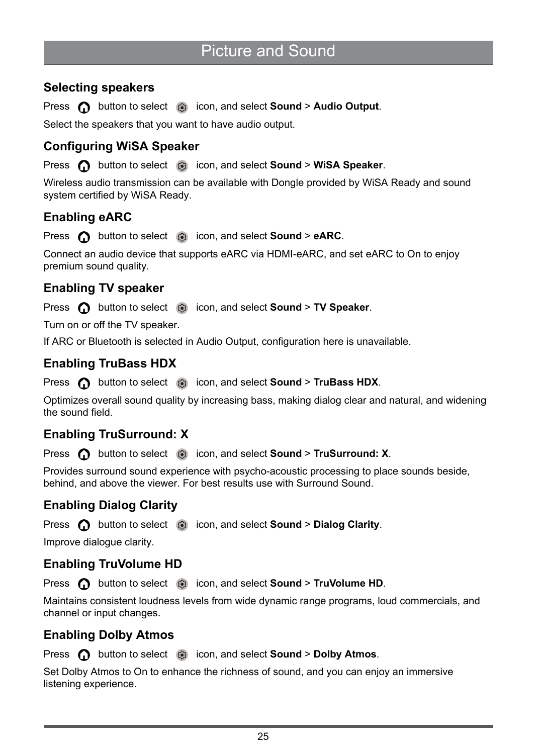### **Selecting speakers**

**Press f** button to select **is i**con, and select **Sound** > **Audio Output**.

Select the speakers that you want to have audio output.

#### **Configuring WiSA Speaker**

Press button to select icon, and select **Sound** > **WiSA Speaker**.

Wireless audio transmission can be available with Dongle provided by WiSA Ready and sound system certified by WiSA Ready.

#### **Enabling eARC**

**Press**  $\bigcirc$  button to select  $\bigcirc$  icon, and select **Sound** > **eARC**.

Connect an audio device that supports eARC via HDMI-eARC, and set eARC to On to enjoy premium sound quality.

#### **Enabling TV speaker**

Press **c** button to select **c** icon, and select **Sound** > **TV Speaker**.

Turn on or off the TV speaker.

If ARC or Bluetooth is selected in Audio Output, configuration here is unavailable.

#### **Enabling TruBass HDX**

**Press**  $\bigcap$  button to select  $\bigcirc$  icon, and select **Sound** > **TruBass HDX**.

Optimizes overall sound quality by increasing bass, making dialog clear and natural, and widening the sound field.

#### **Enabling TruSurround: X**

**Press**  $\bigcap$  button to select  $\bigcirc$  icon, and select **Sound** > **TruSurround: X**.

Provides surround sound experience with psycho-acoustic processing to place sounds beside, behind, and above the viewer. For best results use with Surround Sound.

#### **Enabling Dialog Clarity**

**Press follow** button to select **is i**con, and select **Sound** > **Dialog Clarity**.

Improve dialogue clarity.

#### **Enabling TruVolume HD**

**Press**  $\bigcirc$  button to select  $\bigcirc$  icon, and select **Sound** > **TruVolume HD**.

Maintains consistent loudness levels from wide dynamic range programs, loud commercials, and channel or input changes.

#### **Enabling Dolby Atmos**

**Press**  $\bigcap$  **button to select**  $\bigcirc$  **icon, and select <b>Sound** > **Dolby Atmos**.

Set Dolby Atmos to On to enhance the richness of sound, and you can enjoy an immersive listening experience.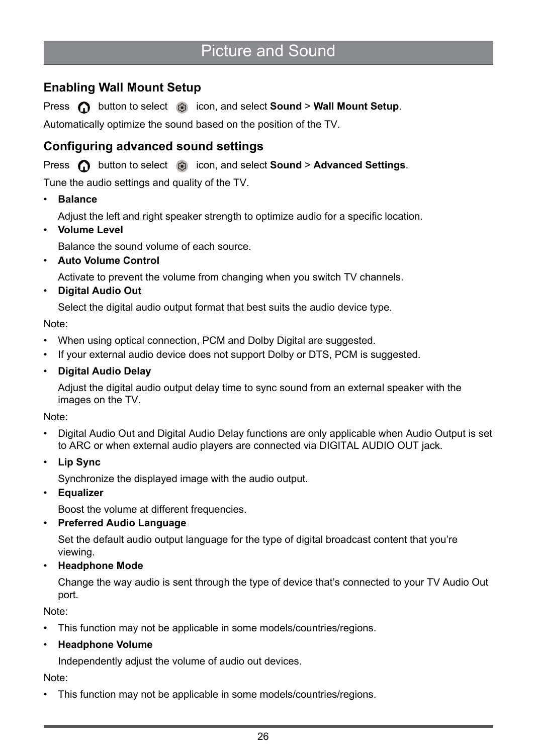### **Enabling Wall Mount Setup**

**Press n** button to select **is i** icon, and select **Sound** > **Wall Mount Setup**.

Automatically optimize the sound based on the position of the TV.

#### **Configuring advanced sound settings**

Press **c** button to select  $\odot$  icon, and select **Sound** > **Advanced Settings**.

Tune the audio settings and quality of the TV.

• **Balance**

Adjust the left and right speaker strength to optimize audio for a specific location.

• **Volume Level**

Balance the sound volume of each source.

• **Auto Volume Control**

Activate to prevent the volume from changing when you switch TV channels.

• **Digital Audio Out**

Select the digital audio output format that best suits the audio device type.

Note:

- When using optical connection, PCM and Dolby Digital are suggested.
- If your external audio device does not support Dolby or DTS, PCM is suggested.
- **Digital Audio Delay**

Adjust the digital audio output delay time to sync sound from an external speaker with the images on the TV.

Note:

- Digital Audio Out and Digital Audio Delay functions are only applicable when Audio Output is set to ARC or when external audio players are connected via DIGITAL AUDIO OUT jack.
- **Lip Sync**

Synchronize the displayed image with the audio output.

• **Equalizer**

Boost the volume at different frequencies.

• **Preferred Audio Language**

Set the default audio output language for the type of digital broadcast content that you're viewing.

• **Headphone Mode**

Change the way audio is sent through the type of device that's connected to your TV Audio Out port.

Note:

- This function may not be applicable in some models/countries/regions.
- **Headphone Volume**

Independently adjust the volume of audio out devices.

Note:

• This function may not be applicable in some models/countries/regions.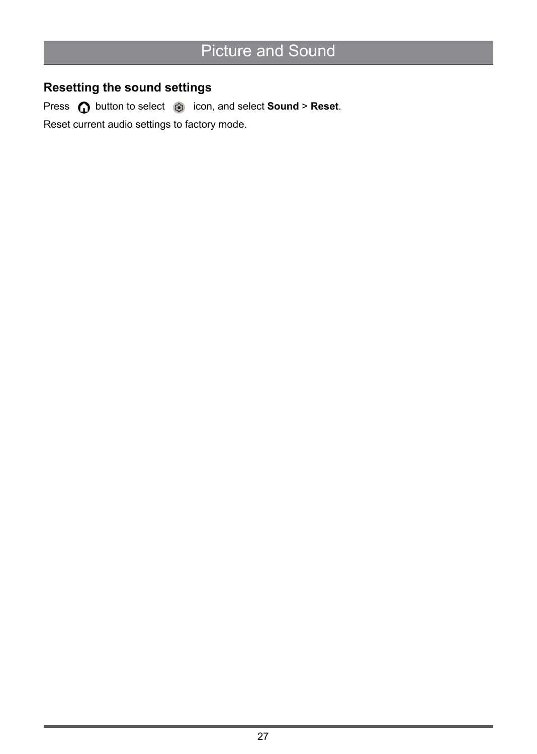### **Resetting the sound settings**

Press  $\bigcirc$  button to select  $\bigcirc$  icon, and select **Sound** > **Reset**.

Reset current audio settings to factory mode.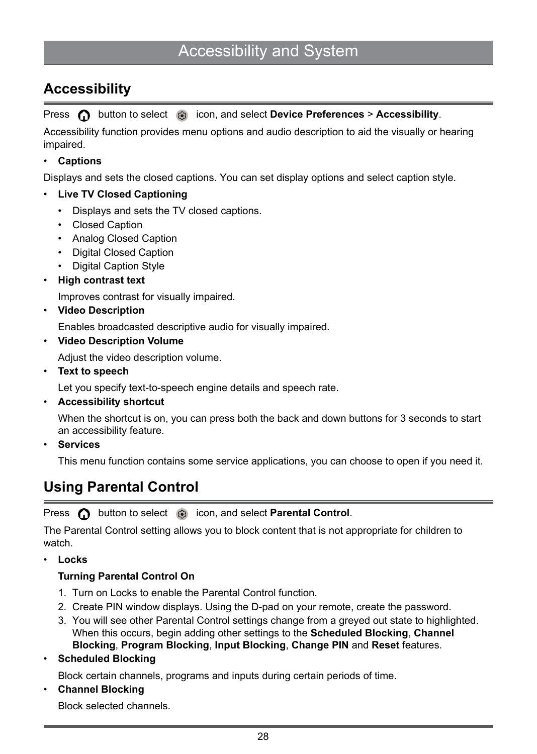### <span id="page-30-0"></span>**Accessibility**

**Press follow** button to select **o** icon, and select **Device Preferences** > **Accessibility**.

Accessibility function provides menu options and audio description to aid the visually or hearing impaired.

#### • **Captions**

Displays and sets the closed captions. You can set display options and select caption style.

- **Live TV Closed Captioning**
	- Displays and sets the TV closed captions.
	- Closed Caption
	- Analog Closed Caption
	- Digital Closed Caption
	- Digital Caption Style
- **High contrast text**

Improves contrast for visually impaired.

• **Video Description**

Enables broadcasted descriptive audio for visually impaired.

• **Video Description Volume**

Adjust the video description volume.

• **Text to speech**

Let you specify text-to-speech engine details and speech rate.

• **Accessibility shortcut**

When the shortcut is on, you can press both the back and down buttons for 3 seconds to start an accessibility feature.

• **Services**

This menu function contains some service applications, you can choose to open if you need it.

### <span id="page-30-1"></span>**Using Parental Control**

**Press f** button to select **is i**con, and select **Parental Control**.

The Parental Control setting allows you to block content that is not appropriate for children to watch.

• **Locks**

#### **Turning Parental Control On**

- 1. Turn on Locks to enable the Parental Control function.
- 2. Create PIN window displays. Using the D-pad on your remote, create the password.
- 3. You will see other Parental Control settings change from a greyed out state to highlighted. When this occurs, begin adding other settings to the **Scheduled Blocking**, **Channel Blocking**, **Program Blocking**, **Input Blocking**, **Change PIN** and **Reset** features.
- **Scheduled Blocking**

Block certain channels, programs and inputs during certain periods of time.

• **Channel Blocking**

Block selected channels.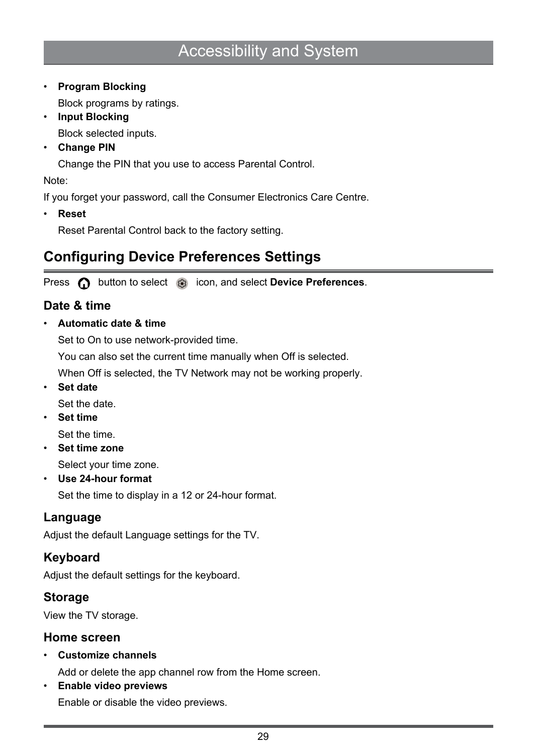### Accessibility and System

• **Program Blocking**

Block programs by ratings.

• **Input Blocking**

Block selected inputs.

• **Change PIN**

Change the PIN that you use to access Parental Control.

Note:

If you forget your password, call the Consumer Electronics Care Centre.

• **Reset**

Reset Parental Control back to the factory setting.

### <span id="page-31-0"></span>**Configuring Device Preferences Settings**

Press  $\bigcirc$  button to select  $\bigcirc$  icon, and select **Device Preferences**.

### **Date & time**

• **Automatic date & time**

Set to On to use network-provided time.

You can also set the current time manually when Off is selected.

When Off is selected, the TV Network may not be working properly.

• **Set date**

Set the date.

• **Set time**

Set the time.

• **Set time zone**

Select your time zone.

• **Use 24-hour format**

Set the time to display in a 12 or 24-hour format.

#### **Language**

Adjust the default Language settings for the TV.

### **Keyboard**

Adjust the default settings for the keyboard.

#### **Storage**

View the TV storage.

#### **Home screen**

• **Customize channels**

Add or delete the app channel row from the Home screen.

• **Enable video previews**

Enable or disable the video previews.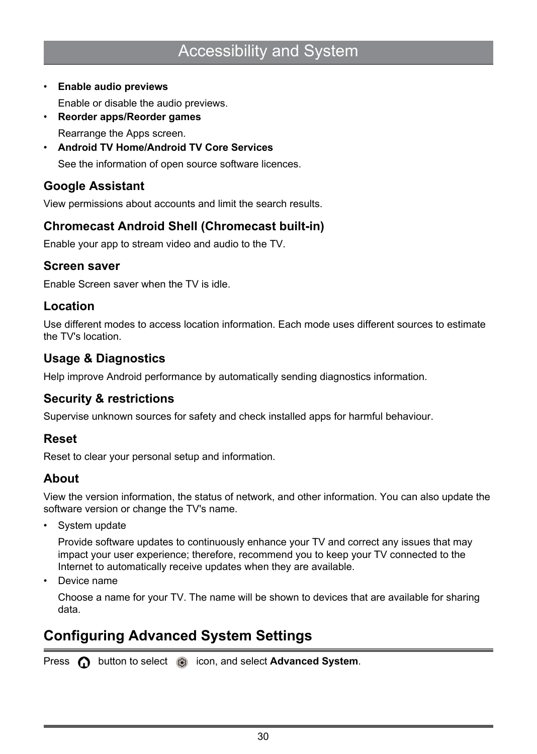### Accessibility and System

• **Enable audio previews**

Enable or disable the audio previews.

- **Reorder apps/Reorder games** Rearrange the Apps screen.
- **Android TV Home/Android TV Core Services** See the information of open source software licences.

### **Google Assistant**

View permissions about accounts and limit the search results.

### **Chromecast Android Shell (Chromecast built-in)**

Enable your app to stream video and audio to the TV.

#### **Screen saver**

Enable Screen saver when the TV is idle.

### **Location**

Use different modes to access location information. Each mode uses different sources to estimate the TV's location.

### **Usage & Diagnostics**

Help improve Android performance by automatically sending diagnostics information.

### **Security & restrictions**

Supervise unknown sources for safety and check installed apps for harmful behaviour.

#### **Reset**

Reset to clear your personal setup and information.

#### **About**

View the version information, the status of network, and other information. You can also update the software version or change the TV's name.

• System update

Provide software updates to continuously enhance your TV and correct any issues that may impact your user experience; therefore, recommend you to keep your TV connected to the Internet to automatically receive updates when they are available.

Device name

Choose a name for your TV. The name will be shown to devices that are available for sharing data.

### <span id="page-32-0"></span>**Configuring Advanced System Settings**

Press **n** button to select  $\odot$  icon, and select **Advanced System**.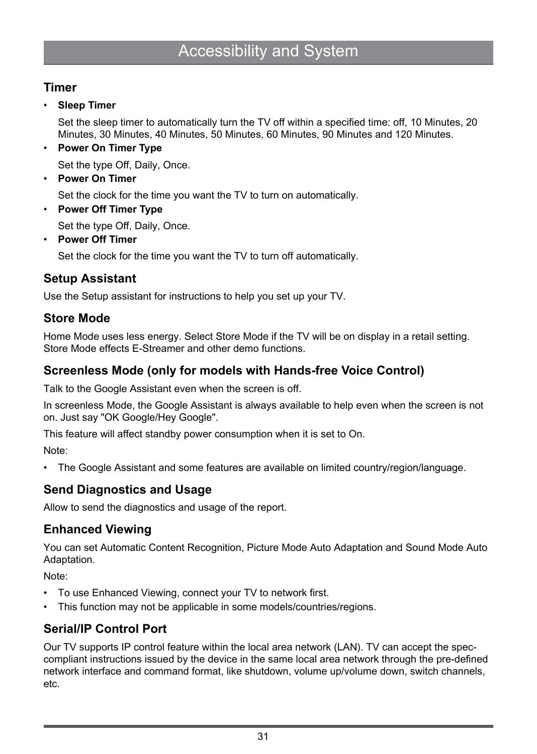### **Timer**

• **Sleep Timer**

Set the sleep timer to automatically turn the TV off within a specified time: off, 10 Minutes, 20 Minutes, 30 Minutes, 40 Minutes, 50 Minutes, 60 Minutes, 90 Minutes and 120 Minutes.

• **Power On Timer Type**

Set the type Off, Daily, Once.

• **Power On Timer**

Set the clock for the time you want the TV to turn on automatically.

• **Power Off Timer Type**

Set the type Off, Daily, Once.

• **Power Off Timer**

Set the clock for the time you want the TV to turn off automatically.

### **Setup Assistant**

Use the Setup assistant for instructions to help you set up your TV.

### **Store Mode**

Home Mode uses less energy. Select Store Mode if the TV will be on display in a retail setting. Store Mode effects E-Streamer and other demo functions.

### **Screenless Mode (only for models with Hands-free Voice Control)**

Talk to the Google Assistant even when the screen is off.

In screenless Mode, the Google Assistant is always available to help even when the screen is not on. Just say "OK Google/Hey Google".

This feature will affect standby power consumption when it is set to On.

Note:

• The Google Assistant and some features are available on limited country/region/language.

### **Send Diagnostics and Usage**

Allow to send the diagnostics and usage of the report.

### **Enhanced Viewing**

You can set Automatic Content Recognition, Picture Mode Auto Adaptation and Sound Mode Auto Adaptation.

Note:

- To use Enhanced Viewing, connect your TV to network first.
- This function may not be applicable in some models/countries/regions.

### **Serial/IP Control Port**

Our TV supports IP control feature within the local area network (LAN). TV can accept the speccompliant instructions issued by the device in the same local area network through the pre-defined network interface and command format, like shutdown, volume up/volume down, switch channels, etc.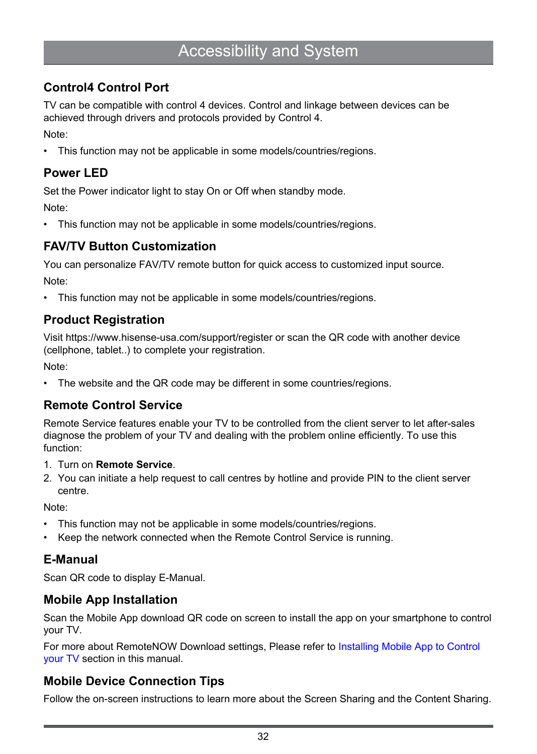### Accessibility and System

### **Control4 Control Port**

TV can be compatible with control 4 devices. Control and linkage between devices can be achieved through drivers and protocols provided by Control 4.

Note:

• This function may not be applicable in some models/countries/regions.

### **Power LED**

Set the Power indicator light to stay On or Off when standby mode.

Note:

• This function may not be applicable in some models/countries/regions.

### **FAV/TV Button Customization**

You can personalize FAV/TV remote button for quick access to customized input source. Note:

• This function may not be applicable in some models/countries/regions.

### **Product Registration**

Visit https://www.hisense-usa.com/support/register or scan the QR code with another device (cellphone, tablet..) to complete your registration.

Note:

The website and the QR code may be different in some countries/regions.

### **Remote Control Service**

Remote Service features enable your TV to be controlled from the client server to let after-sales diagnose the problem of your TV and dealing with the problem online efficiently. To use this function:

- 1. Turn on **Remote Service**.
- 2. You can initiate a help request to call centres by hotline and provide PIN to the client server centre.

Note:

- This function may not be applicable in some models/countries/regions.
- Keep the network connected when the Remote Control Service is running.

#### **E-Manual**

Scan QR code to display E-Manual.

#### **Mobile App Installation**

Scan the Mobile App download QR code on screen to install the app on your smartphone to control your TV.

For more about RemoteNOW Download settings, Please refer to [Installing Mobile App to Control](#page-22-0) [your TV](#page-22-0) section in this manual.

### **Mobile Device Connection Tips**

Follow the on-screen instructions to learn more about the Screen Sharing and the Content Sharing.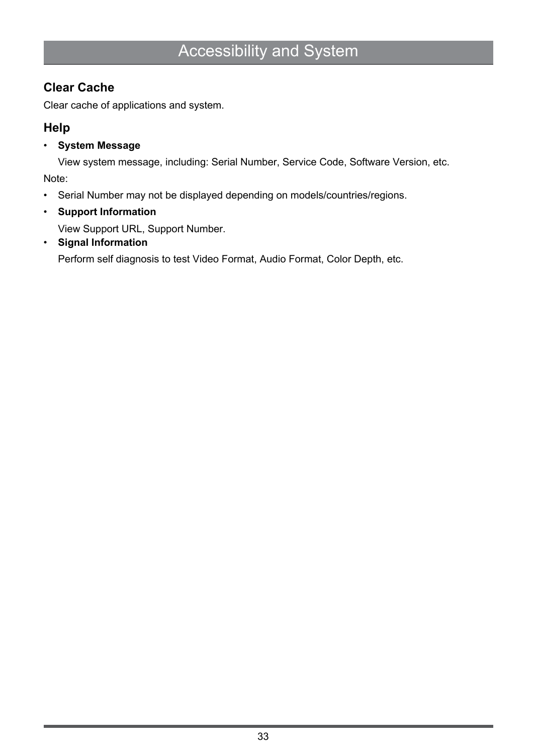### Accessibility and System

### **Clear Cache**

Clear cache of applications and system.

### **Help**

• **System Message**

View system message, including: Serial Number, Service Code, Software Version, etc. Note:

- Serial Number may not be displayed depending on models/countries/regions.
- **Support Information**

View Support URL, Support Number.

• **Signal Information**

Perform self diagnosis to test Video Format, Audio Format, Color Depth, etc.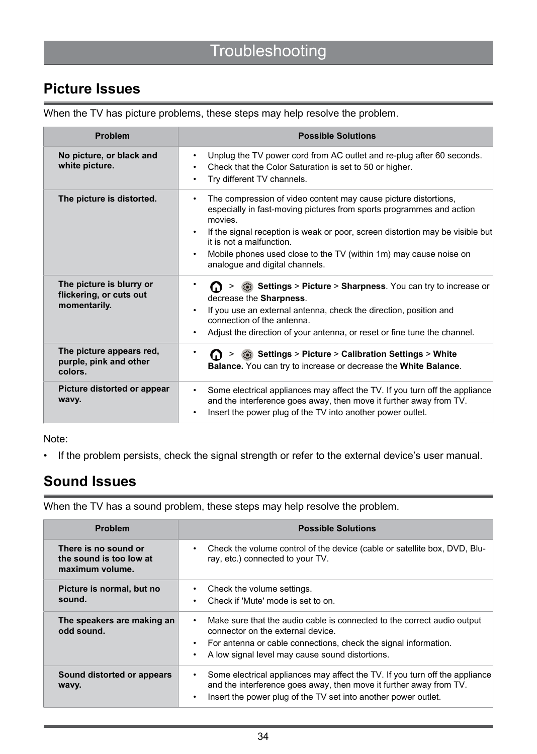### <span id="page-36-0"></span>**Picture Issues**

When the TV has picture problems, these steps may help resolve the problem.

| <b>Problem</b>                                                      | <b>Possible Solutions</b>                                                                                                                                                                                                                                                                                                                                                  |
|---------------------------------------------------------------------|----------------------------------------------------------------------------------------------------------------------------------------------------------------------------------------------------------------------------------------------------------------------------------------------------------------------------------------------------------------------------|
| No picture, or black and<br>white picture.                          | Unplug the TV power cord from AC outlet and re-plug after 60 seconds.<br>$\bullet$<br>Check that the Color Saturation is set to 50 or higher.<br>$\bullet$<br>Try different TV channels.                                                                                                                                                                                   |
| The picture is distorted.                                           | The compression of video content may cause picture distortions,<br>٠<br>especially in fast-moving pictures from sports programmes and action<br>movies<br>If the signal reception is weak or poor, screen distortion may be visible but<br>it is not a malfunction.<br>Mobile phones used close to the TV (within 1m) may cause noise on<br>analogue and digital channels. |
| The picture is blurry or<br>flickering, or cuts out<br>momentarily. | Settings > Picture > Sharpness. You can try to increase or<br>><br>decrease the Sharpness.<br>If you use an external antenna, check the direction, position and<br>connection of the antenna.<br>Adjust the direction of your antenna, or reset or fine tune the channel.                                                                                                  |
| The picture appears red,<br>purple, pink and other<br>colors.       | <b>Settings &gt; Picture &gt; Calibration Settings &gt; White</b><br><b>Balance.</b> You can try to increase or decrease the <b>White Balance</b> .                                                                                                                                                                                                                        |
| Picture distorted or appear<br>wavy.                                | Some electrical appliances may affect the TV. If you turn off the appliance<br>$\bullet$<br>and the interference goes away, then move it further away from TV.<br>Insert the power plug of the TV into another power outlet.<br>$\bullet$                                                                                                                                  |

Note:

• If the problem persists, check the signal strength or refer to the external device's user manual.

### <span id="page-36-1"></span>**Sound Issues**

When the TV has a sound problem, these steps may help resolve the problem.

| <b>Problem</b>                                                     | <b>Possible Solutions</b>                                                                                                                                                                                                                                         |
|--------------------------------------------------------------------|-------------------------------------------------------------------------------------------------------------------------------------------------------------------------------------------------------------------------------------------------------------------|
| There is no sound or<br>the sound is too low at<br>maximum volume. | Check the volume control of the device (cable or satellite box, DVD, Blu-<br>$\bullet$<br>ray, etc.) connected to your TV.                                                                                                                                        |
| Picture is normal, but no<br>sound.                                | Check the volume settings.<br>٠<br>Check if 'Mute' mode is set to on.<br>٠                                                                                                                                                                                        |
| The speakers are making an<br>odd sound.                           | Make sure that the audio cable is connected to the correct audio output<br>$\bullet$<br>connector on the external device.<br>For antenna or cable connections, check the signal information.<br>$\bullet$<br>A low signal level may cause sound distortions.<br>٠ |
| Sound distorted or appears<br>wavy.                                | Some electrical appliances may affect the TV. If you turn off the appliance<br>٠<br>and the interference goes away, then move it further away from TV.<br>Insert the power plug of the TV set into another power outlet.<br>$\bullet$                             |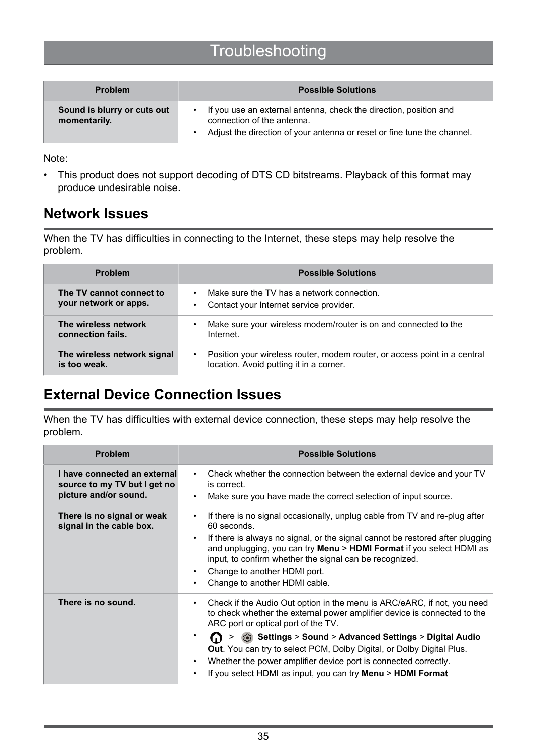### **Troubleshooting**

| <b>Problem</b>                              | <b>Possible Solutions</b>                                                                                                                                                               |
|---------------------------------------------|-----------------------------------------------------------------------------------------------------------------------------------------------------------------------------------------|
| Sound is blurry or cuts out<br>momentarily. | If you use an external antenna, check the direction, position and<br>$\bullet$<br>connection of the antenna.<br>Adjust the direction of your antenna or reset or fine tune the channel. |

Note:

• This product does not support decoding of DTS CD bitstreams. Playback of this format may produce undesirable noise.

### <span id="page-37-0"></span>**Network Issues**

When the TV has difficulties in connecting to the Internet, these steps may help resolve the problem.

| <b>Problem</b>                                    | <b>Possible Solutions</b>                                                                                                 |
|---------------------------------------------------|---------------------------------------------------------------------------------------------------------------------------|
| The TV cannot connect to<br>your network or apps. | Make sure the TV has a network connection.<br>٠<br>Contact your Internet service provider.<br>٠                           |
| The wireless network<br>connection fails.         | Make sure your wireless modem/router is on and connected to the<br>$\bullet$<br>Internet.                                 |
| The wireless network signal<br>is too weak.       | Position your wireless router, modem router, or access point in a central<br>٠<br>location. Avoid putting it in a corner. |

### <span id="page-37-1"></span>**External Device Connection Issues**

When the TV has difficulties with external device connection, these steps may help resolve the problem.

| <b>Problem</b>                                                                        | <b>Possible Solutions</b>                                                                                                                                                                                                                                                                                                                                                                                                                                                           |
|---------------------------------------------------------------------------------------|-------------------------------------------------------------------------------------------------------------------------------------------------------------------------------------------------------------------------------------------------------------------------------------------------------------------------------------------------------------------------------------------------------------------------------------------------------------------------------------|
| I have connected an external<br>source to my TV but I get no<br>picture and/or sound. | Check whether the connection between the external device and your TV<br>is correct.<br>Make sure you have made the correct selection of input source.                                                                                                                                                                                                                                                                                                                               |
| There is no signal or weak<br>signal in the cable box.                                | If there is no signal occasionally, unplug cable from TV and re-plug after<br>٠<br>60 seconds.<br>If there is always no signal, or the signal cannot be restored after plugging<br>$\bullet$<br>and unplugging, you can try Menu > HDMI Format if you select HDMI as<br>input, to confirm whether the signal can be recognized.<br>Change to another HDMI port.<br>Change to another HDMI cable.                                                                                    |
| There is no sound.                                                                    | Check if the Audio Out option in the menu is ARC/eARC, if not, you need<br>٠<br>to check whether the external power amplifier device is connected to the<br>ARC port or optical port of the TV.<br>Settings > Sound > Advanced Settings > Digital Audio<br><b>Out.</b> You can try to select PCM, Dolby Digital, or Dolby Digital Plus.<br>Whether the power amplifier device port is connected correctly.<br>If you select HDMI as input, you can try <b>Menu &gt; HDMI Format</b> |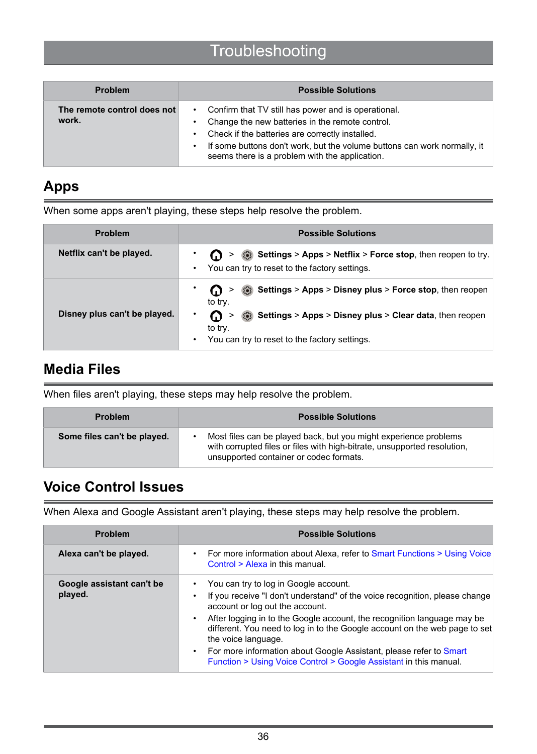### **Troubleshooting**

| <b>Problem</b>                       | <b>Possible Solutions</b>                                                                                                                                                                                                                                                                                                      |
|--------------------------------------|--------------------------------------------------------------------------------------------------------------------------------------------------------------------------------------------------------------------------------------------------------------------------------------------------------------------------------|
| The remote control does not<br>work. | Confirm that TV still has power and is operational.<br>$\bullet$<br>Change the new batteries in the remote control.<br>Check if the batteries are correctly installed.<br>$\bullet$<br>If some buttons don't work, but the volume buttons can work normally, it<br>$\bullet$<br>seems there is a problem with the application. |

### <span id="page-38-0"></span>**Apps**

When some apps aren't playing, these steps help resolve the problem.

| <b>Problem</b>               | <b>Possible Solutions</b>                                                                                                            |
|------------------------------|--------------------------------------------------------------------------------------------------------------------------------------|
| Netflix can't be played.     | Settings > Apps > Netflix > Force stop, then reopen to try.<br>M<br>• You can try to reset to the factory settings.                  |
|                              | Settings > Apps > Disney plus > Force stop, then reopen<br>M<br>$\geq$<br>to try.                                                    |
| Disney plus can't be played. | Settings > Apps > Disney plus > Clear data, then reopen<br>$\Omega$<br>to try.<br>You can try to reset to the factory settings.<br>٠ |

### <span id="page-38-1"></span>**Media Files**

When files aren't playing, these steps may help resolve the problem.

| <b>Problem</b>              | <b>Possible Solutions</b>                                                                                                                                                               |
|-----------------------------|-----------------------------------------------------------------------------------------------------------------------------------------------------------------------------------------|
| Some files can't be played. | Most files can be played back, but you might experience problems<br>with corrupted files or files with high-bitrate, unsupported resolution,<br>unsupported container or codec formats. |

### <span id="page-38-2"></span>**Voice Control Issues**

When Alexa and Google Assistant aren't playing, these steps may help resolve the problem.

| Problem                              | <b>Possible Solutions</b>                                                                                                                                                                                                                                                                                                                                                                                                                                                          |
|--------------------------------------|------------------------------------------------------------------------------------------------------------------------------------------------------------------------------------------------------------------------------------------------------------------------------------------------------------------------------------------------------------------------------------------------------------------------------------------------------------------------------------|
| Alexa can't be played.               | For more information about Alexa, refer to Smart Functions > Using Voice<br>Control > Alexa in this manual.                                                                                                                                                                                                                                                                                                                                                                        |
| Google assistant can't be<br>played. | You can try to log in Google account.<br>If you receive "I don't understand" of the voice recognition, please change<br>account or log out the account.<br>After logging in to the Google account, the recognition language may be<br>different. You need to log in to the Google account on the web page to set<br>the voice language.<br>For more information about Google Assistant, please refer to Smart<br>Function > Using Voice Control > Google Assistant in this manual. |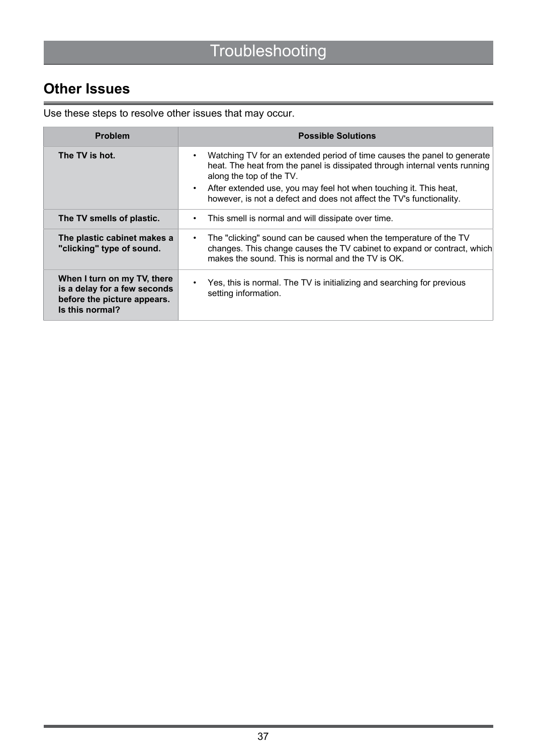### <span id="page-39-0"></span>**Other Issues**

Use these steps to resolve other issues that may occur.

| <b>Problem</b>                                                                                                | <b>Possible Solutions</b>                                                                                                                                                                                                                                                                                                                   |
|---------------------------------------------------------------------------------------------------------------|---------------------------------------------------------------------------------------------------------------------------------------------------------------------------------------------------------------------------------------------------------------------------------------------------------------------------------------------|
| The TV is hot.                                                                                                | Watching TV for an extended period of time causes the panel to generate<br>heat. The heat from the panel is dissipated through internal vents running<br>along the top of the TV.<br>After extended use, you may feel hot when touching it. This heat,<br>$\bullet$<br>however, is not a defect and does not affect the TV's functionality. |
| The TV smells of plastic.                                                                                     | This smell is normal and will dissipate over time.<br>٠                                                                                                                                                                                                                                                                                     |
| The plastic cabinet makes a<br>"clicking" type of sound.                                                      | The "clicking" sound can be caused when the temperature of the TV<br>changes. This change causes the TV cabinet to expand or contract, which<br>makes the sound. This is normal and the TV is OK.                                                                                                                                           |
| When I turn on my TV, there<br>is a delay for a few seconds<br>before the picture appears.<br>Is this normal? | Yes, this is normal. The TV is initializing and searching for previous<br>setting information.                                                                                                                                                                                                                                              |